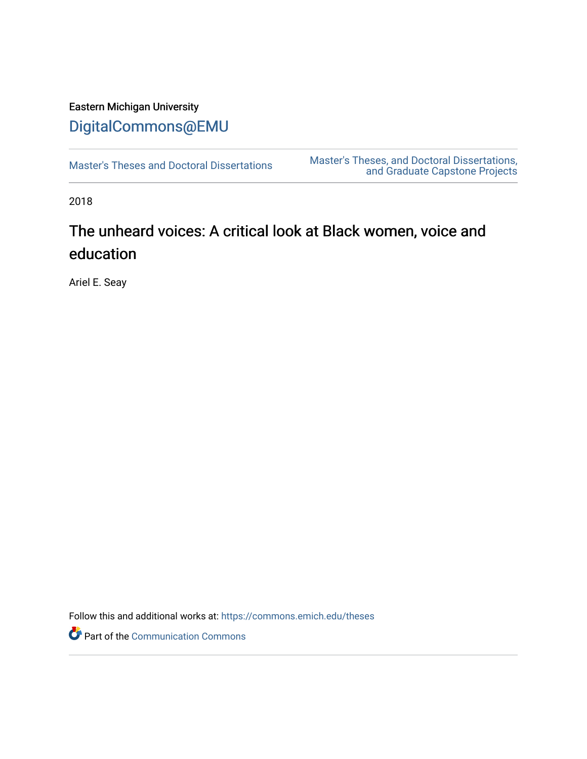# Eastern Michigan University [DigitalCommons@EMU](https://commons.emich.edu/)

[Master's Theses and Doctoral Dissertations](https://commons.emich.edu/theses) [Master's Theses, and Doctoral Dissertations,](https://commons.emich.edu/etd)  [and Graduate Capstone Projects](https://commons.emich.edu/etd) 

2018

# The unheard voices: A critical look at Black women, voice and education

Ariel E. Seay

Follow this and additional works at: [https://commons.emich.edu/theses](https://commons.emich.edu/theses?utm_source=commons.emich.edu%2Ftheses%2F1156&utm_medium=PDF&utm_campaign=PDFCoverPages) 

Part of the [Communication Commons](https://network.bepress.com/hgg/discipline/325?utm_source=commons.emich.edu%2Ftheses%2F1156&utm_medium=PDF&utm_campaign=PDFCoverPages)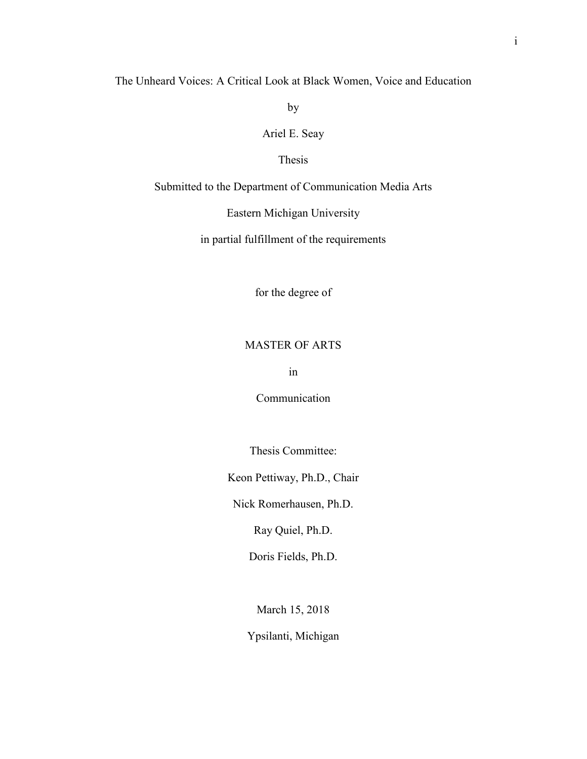The Unheard Voices: A Critical Look at Black Women, Voice and Education

by

Ariel E. Seay

# Thesis

Submitted to the Department of Communication Media Arts

Eastern Michigan University

in partial fulfillment of the requirements

for the degree of

# MASTER OF ARTS

in

Communication

Thesis Committee:

Keon Pettiway, Ph.D., Chair

Nick Romerhausen, Ph.D.

Ray Quiel, Ph.D.

Doris Fields, Ph.D.

March 15, 2018

Ypsilanti, Michigan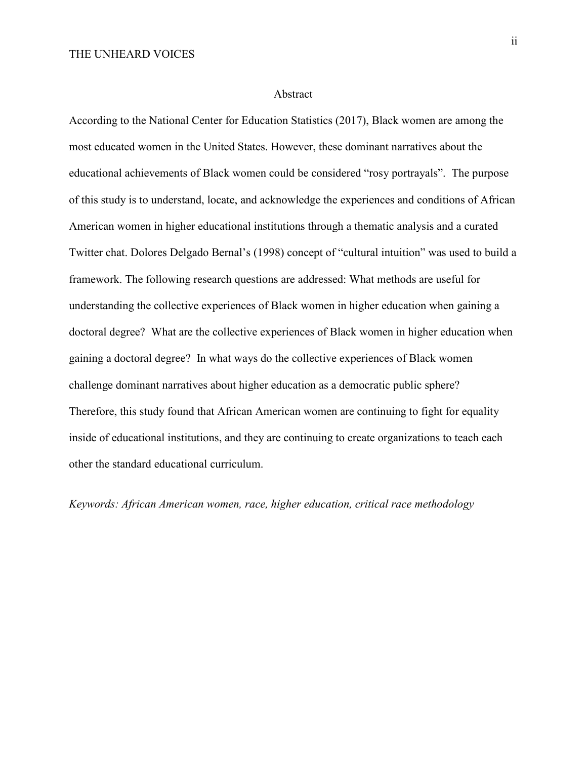#### Abstract

According to the National Center for Education Statistics (2017), Black women are among the most educated women in the United States. However, these dominant narratives about the educational achievements of Black women could be considered "rosy portrayals". The purpose of this study is to understand, locate, and acknowledge the experiences and conditions of African American women in higher educational institutions through a thematic analysis and a curated Twitter chat. Dolores Delgado Bernal's (1998) concept of "cultural intuition" was used to build a framework. The following research questions are addressed: What methods are useful for understanding the collective experiences of Black women in higher education when gaining a doctoral degree? What are the collective experiences of Black women in higher education when gaining a doctoral degree? In what ways do the collective experiences of Black women challenge dominant narratives about higher education as a democratic public sphere? Therefore, this study found that African American women are continuing to fight for equality inside of educational institutions, and they are continuing to create organizations to teach each other the standard educational curriculum.

*Keywords: African American women, race, higher education, critical race methodology*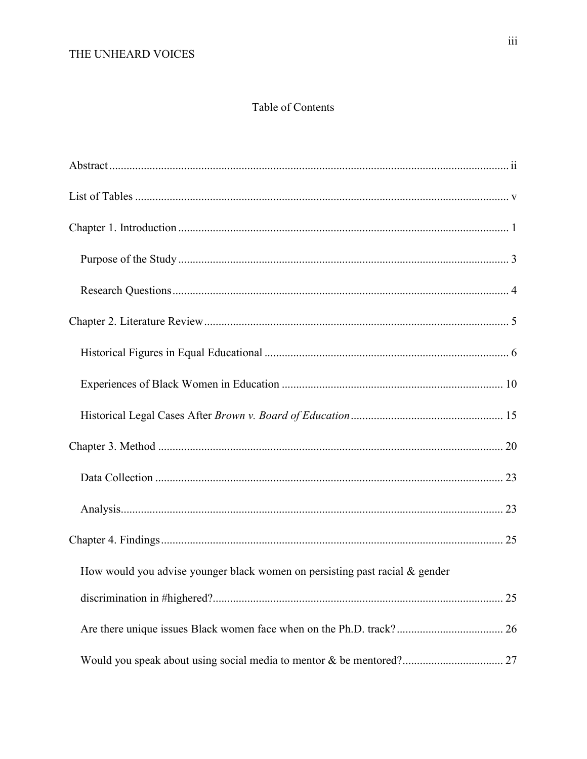# Table of Contents

| How would you advise younger black women on persisting past racial $\&$ gender |  |
|--------------------------------------------------------------------------------|--|
|                                                                                |  |
|                                                                                |  |
|                                                                                |  |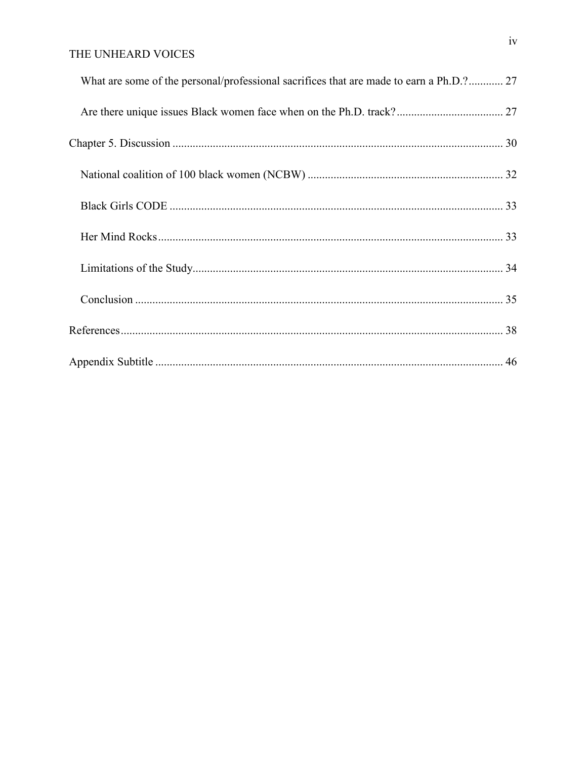| What are some of the personal/professional sacrifices that are made to earn a Ph.D.? 27 |  |
|-----------------------------------------------------------------------------------------|--|
|                                                                                         |  |
|                                                                                         |  |
|                                                                                         |  |
|                                                                                         |  |
|                                                                                         |  |
|                                                                                         |  |
|                                                                                         |  |
|                                                                                         |  |
|                                                                                         |  |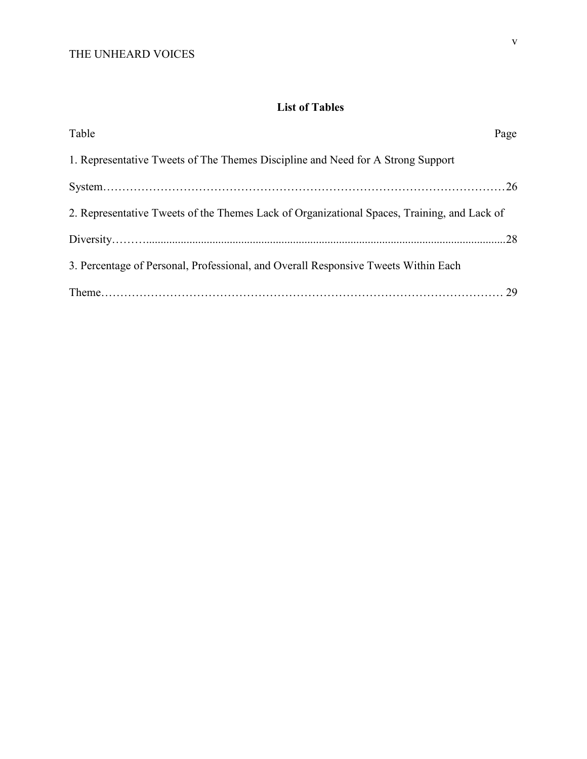# **List of Tables**

| Table                                                                                       | Page |
|---------------------------------------------------------------------------------------------|------|
| 1. Representative Tweets of The Themes Discipline and Need for A Strong Support             |      |
|                                                                                             |      |
| 2. Representative Tweets of the Themes Lack of Organizational Spaces, Training, and Lack of |      |
|                                                                                             |      |
| 3. Percentage of Personal, Professional, and Overall Responsive Tweets Within Each          |      |
|                                                                                             |      |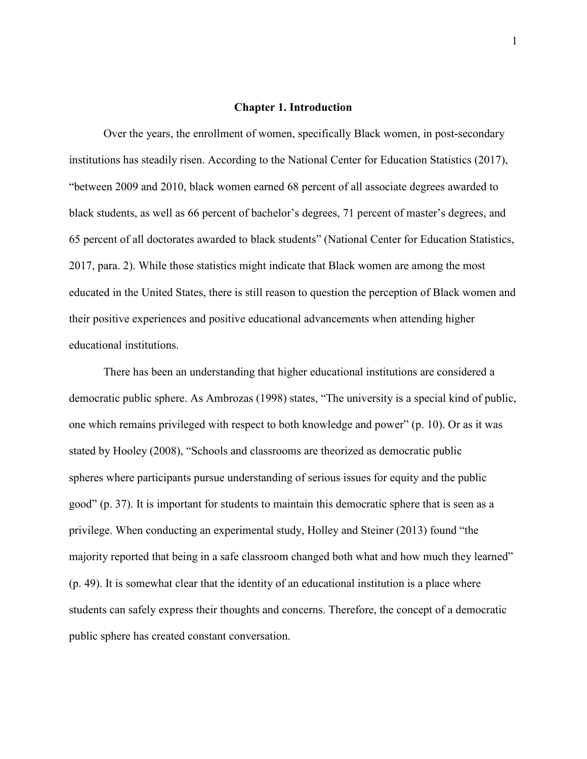#### **Chapter 1. Introduction**

Over the years, the enrollment of women, specifically Black women, in post-secondary institutions has steadily risen. According to the National Center for Education Statistics (2017), "between 2009 and 2010, black women earned 68 percent of all associate degrees awarded to black students, as well as 66 percent of bachelor's degrees, 71 percent of master's degrees, and 65 percent of all doctorates awarded to black students" (National Center for Education Statistics, 2017, para. 2). While those statistics might indicate that Black women are among the most educated in the United States, there is still reason to question the perception of Black women and their positive experiences and positive educational advancements when attending higher educational institutions.

There has been an understanding that higher educational institutions are considered a democratic public sphere. As Ambrozas (1998) states, "The university is a special kind of public, one which remains privileged with respect to both knowledge and power" (p. 10). Or as it was stated by Hooley (2008), "Schools and classrooms are theorized as democratic public spheres where participants pursue understanding of serious issues for equity and the public good" (p. 37). It is important for students to maintain this democratic sphere that is seen as a privilege. When conducting an experimental study, Holley and Steiner (2013) found "the majority reported that being in a safe classroom changed both what and how much they learned" (p. 49). It is somewhat clear that the identity of an educational institution is a place where students can safely express their thoughts and concerns. Therefore, the concept of a democratic public sphere has created constant conversation.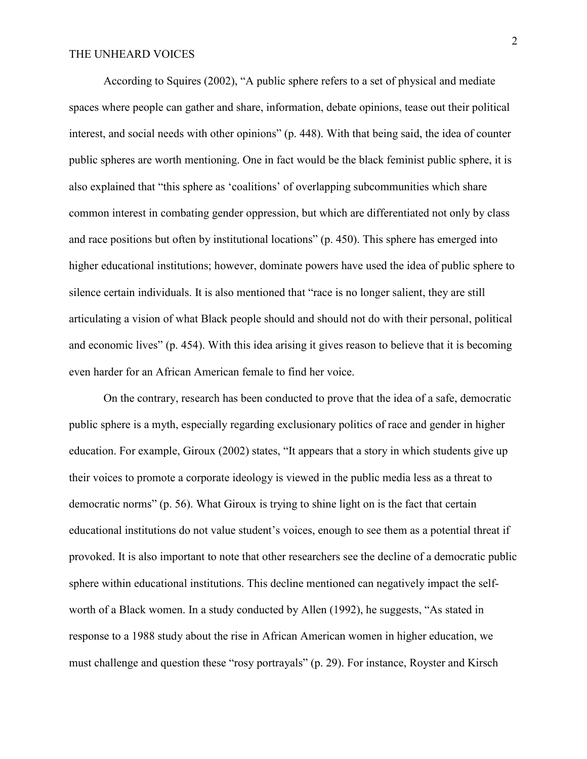According to Squires (2002), "A public sphere refers to a set of physical and mediate spaces where people can gather and share, information, debate opinions, tease out their political interest, and social needs with other opinions" (p. 448). With that being said, the idea of counter public spheres are worth mentioning. One in fact would be the black feminist public sphere, it is also explained that "this sphere as 'coalitions' of overlapping subcommunities which share common interest in combating gender oppression, but which are differentiated not only by class and race positions but often by institutional locations" (p. 450). This sphere has emerged into higher educational institutions; however, dominate powers have used the idea of public sphere to silence certain individuals. It is also mentioned that "race is no longer salient, they are still articulating a vision of what Black people should and should not do with their personal, political and economic lives" (p. 454). With this idea arising it gives reason to believe that it is becoming even harder for an African American female to find her voice.

On the contrary, research has been conducted to prove that the idea of a safe, democratic public sphere is a myth, especially regarding exclusionary politics of race and gender in higher education. For example, Giroux (2002) states, "It appears that a story in which students give up their voices to promote a corporate ideology is viewed in the public media less as a threat to democratic norms" (p. 56). What Giroux is trying to shine light on is the fact that certain educational institutions do not value student's voices, enough to see them as a potential threat if provoked. It is also important to note that other researchers see the decline of a democratic public sphere within educational institutions. This decline mentioned can negatively impact the selfworth of a Black women. In a study conducted by Allen (1992), he suggests, "As stated in response to a 1988 study about the rise in African American women in higher education, we must challenge and question these "rosy portrayals" (p. 29). For instance, Royster and Kirsch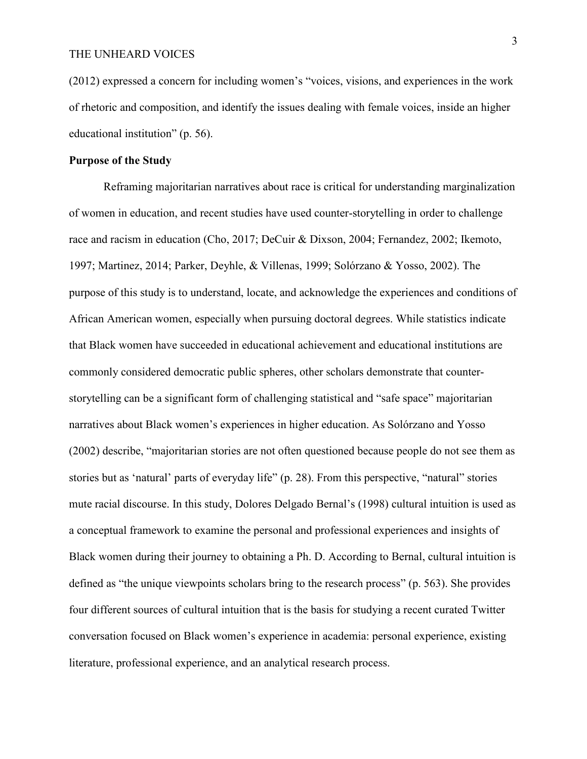(2012) expressed a concern for including women's "voices, visions, and experiences in the work of rhetoric and composition, and identify the issues dealing with female voices, inside an higher educational institution" (p. 56).

# **Purpose of the Study**

Reframing majoritarian narratives about race is critical for understanding marginalization of women in education, and recent studies have used counter-storytelling in order to challenge race and racism in education (Cho, 2017; DeCuir & Dixson, 2004; Fernandez, 2002; Ikemoto, 1997; Martinez, 2014; Parker, Deyhle, & Villenas, 1999; Solórzano & Yosso, 2002). The purpose of this study is to understand, locate, and acknowledge the experiences and conditions of African American women, especially when pursuing doctoral degrees. While statistics indicate that Black women have succeeded in educational achievement and educational institutions are commonly considered democratic public spheres, other scholars demonstrate that counterstorytelling can be a significant form of challenging statistical and "safe space" majoritarian narratives about Black women's experiences in higher education. As Solórzano and Yosso (2002) describe, "majoritarian stories are not often questioned because people do not see them as stories but as 'natural' parts of everyday life" (p. 28). From this perspective, "natural" stories mute racial discourse. In this study, Dolores Delgado Bernal's (1998) cultural intuition is used as a conceptual framework to examine the personal and professional experiences and insights of Black women during their journey to obtaining a Ph. D. According to Bernal, cultural intuition is defined as "the unique viewpoints scholars bring to the research process" (p. 563). She provides four different sources of cultural intuition that is the basis for studying a recent curated Twitter conversation focused on Black women's experience in academia: personal experience, existing literature, professional experience, and an analytical research process.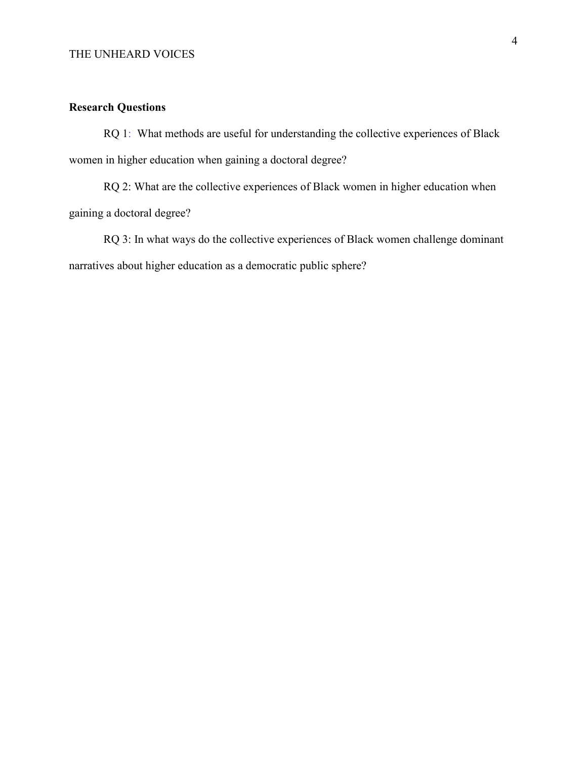# **Research Questions**

RQ 1: What methods are useful for understanding the collective experiences of Black women in higher education when gaining a doctoral degree?

RQ 2: What are the collective experiences of Black women in higher education when gaining a doctoral degree?

RQ 3: In what ways do the collective experiences of Black women challenge dominant narratives about higher education as a democratic public sphere?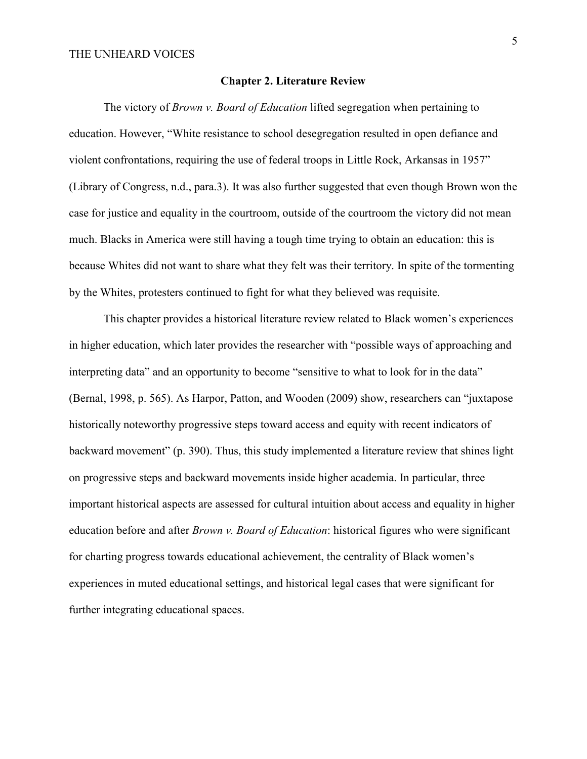## **Chapter 2. Literature Review**

The victory of *Brown v. Board of Education* lifted segregation when pertaining to education. However, "White resistance to school desegregation resulted in open defiance and violent confrontations, requiring the use of federal troops in Little Rock, Arkansas in 1957" (Library of Congress, n.d., para.3). It was also further suggested that even though Brown won the case for justice and equality in the courtroom, outside of the courtroom the victory did not mean much. Blacks in America were still having a tough time trying to obtain an education: this is because Whites did not want to share what they felt was their territory. In spite of the tormenting by the Whites, protesters continued to fight for what they believed was requisite.

This chapter provides a historical literature review related to Black women's experiences in higher education, which later provides the researcher with "possible ways of approaching and interpreting data" and an opportunity to become "sensitive to what to look for in the data" (Bernal, 1998, p. 565). As Harpor, Patton, and Wooden (2009) show, researchers can "juxtapose historically noteworthy progressive steps toward access and equity with recent indicators of backward movement" (p. 390). Thus, this study implemented a literature review that shines light on progressive steps and backward movements inside higher academia. In particular, three important historical aspects are assessed for cultural intuition about access and equality in higher education before and after *Brown v. Board of Education*: historical figures who were significant for charting progress towards educational achievement, the centrality of Black women's experiences in muted educational settings, and historical legal cases that were significant for further integrating educational spaces.

5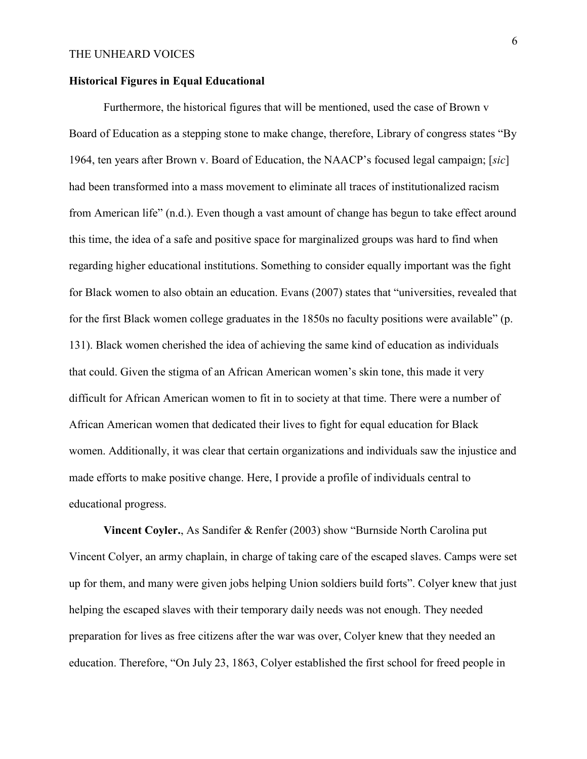### **Historical Figures in Equal Educational**

Furthermore, the historical figures that will be mentioned, used the case of Brown v Board of Education as a stepping stone to make change, therefore, Library of congress states "By 1964, ten years after Brown v. Board of Education, the NAACP's focused legal campaign; [*sic*] had been transformed into a mass movement to eliminate all traces of institutionalized racism from American life" (n.d.). Even though a vast amount of change has begun to take effect around this time, the idea of a safe and positive space for marginalized groups was hard to find when regarding higher educational institutions. Something to consider equally important was the fight for Black women to also obtain an education. Evans (2007) states that "universities, revealed that for the first Black women college graduates in the 1850s no faculty positions were available" (p. 131). Black women cherished the idea of achieving the same kind of education as individuals that could. Given the stigma of an African American women's skin tone, this made it very difficult for African American women to fit in to society at that time. There were a number of African American women that dedicated their lives to fight for equal education for Black women. Additionally, it was clear that certain organizations and individuals saw the injustice and made efforts to make positive change. Here, I provide a profile of individuals central to educational progress.

**Vincent Coyler.**, As Sandifer & Renfer (2003) show "Burnside North Carolina put Vincent Colyer, an army chaplain, in charge of taking care of the escaped slaves. Camps were set up for them, and many were given jobs helping Union soldiers build forts". Colyer knew that just helping the escaped slaves with their temporary daily needs was not enough. They needed preparation for lives as free citizens after the war was over, Colyer knew that they needed an education. Therefore, "On July 23, 1863, Colyer established the first school for freed people in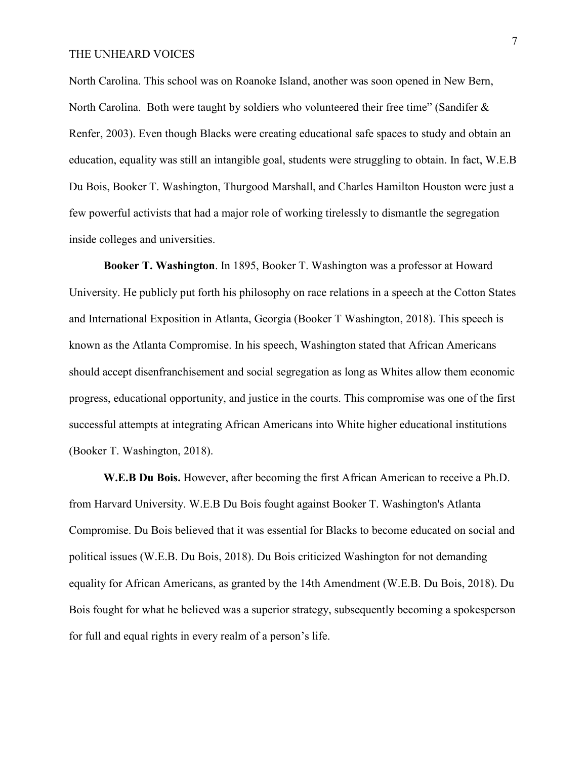North Carolina. This school was on Roanoke Island, another was soon opened in New Bern, North Carolina. Both were taught by soldiers who volunteered their free time" (Sandifer & Renfer, 2003). Even though Blacks were creating educational safe spaces to study and obtain an education, equality was still an intangible goal, students were struggling to obtain. In fact, W.E.B Du Bois, Booker T. Washington, Thurgood Marshall, and Charles Hamilton Houston were just a few powerful activists that had a major role of working tirelessly to dismantle the segregation inside colleges and universities.

**Booker T. Washington**. In 1895, Booker T. Washington was a professor at Howard University. He publicly put forth his philosophy on race relations in a speech at the Cotton States and International Exposition in Atlanta, Georgia (Booker T Washington, 2018). This speech is known as the Atlanta Compromise. In his speech, Washington stated that African Americans should accept disenfranchisement and social segregation as long as Whites allow them economic progress, educational opportunity, and justice in the courts. This compromise was one of the first successful attempts at integrating African Americans into White higher educational institutions (Booker T. Washington, 2018).

**W.E.B Du Bois.** However, after becoming the first African American to receive a Ph.D. from Harvard University. W.E.B Du Bois fought against Booker T. Washington's Atlanta Compromise. Du Bois believed that it was essential for Blacks to become educated on social and political issues (W.E.B. Du Bois, 2018). Du Bois criticized Washington for not demanding equality for African Americans, as granted by the 14th Amendment (W.E.B. Du Bois, 2018). Du Bois fought for what he believed was a superior strategy, subsequently becoming a spokesperson for full and equal rights in every realm of a person's life.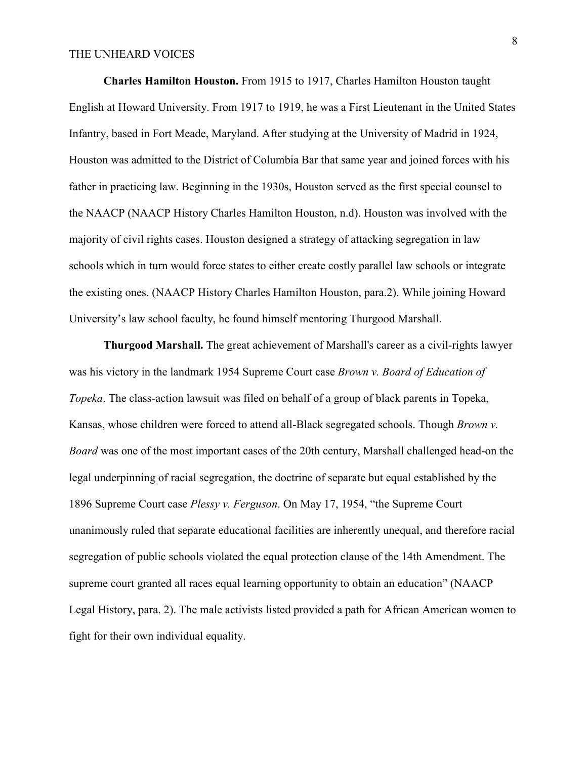**Charles Hamilton Houston.** From 1915 to 1917, Charles Hamilton Houston taught English at Howard University. From 1917 to 1919, he was a First Lieutenant in the United States Infantry, based in Fort Meade, Maryland. After studying at the University of Madrid in 1924, Houston was admitted to the District of Columbia Bar that same year and joined forces with his father in practicing law. Beginning in the 1930s, Houston served as the first special counsel to the NAACP (NAACP History Charles Hamilton Houston, n.d). Houston was involved with the majority of civil rights cases. Houston designed a strategy of attacking segregation in law schools which in turn would force states to either create costly parallel law schools or integrate the existing ones. (NAACP History Charles Hamilton Houston, para.2). While joining Howard University's law school faculty, he found himself mentoring Thurgood Marshall.

**Thurgood Marshall.** The great achievement of Marshall's career as a civil-rights lawyer was his victory in the landmark 1954 Supreme Court case *Brown v. Board of Education of Topeka*. The class-action lawsuit was filed on behalf of a group of black parents in Topeka, Kansas, whose children were forced to attend all-Black segregated schools. Though *Brown v. Board* was one of the most important cases of the 20th century, Marshall challenged head-on the legal underpinning of racial segregation, the doctrine of separate but equal established by the 1896 Supreme Court case *Plessy v. Ferguson*. On May 17, 1954, "the Supreme Court unanimously ruled that separate educational facilities are inherently unequal, and therefore racial segregation of public schools violated the equal protection clause of the 14th Amendment. The supreme court granted all races equal learning opportunity to obtain an education" (NAACP Legal History, para. 2). The male activists listed provided a path for African American women to fight for their own individual equality.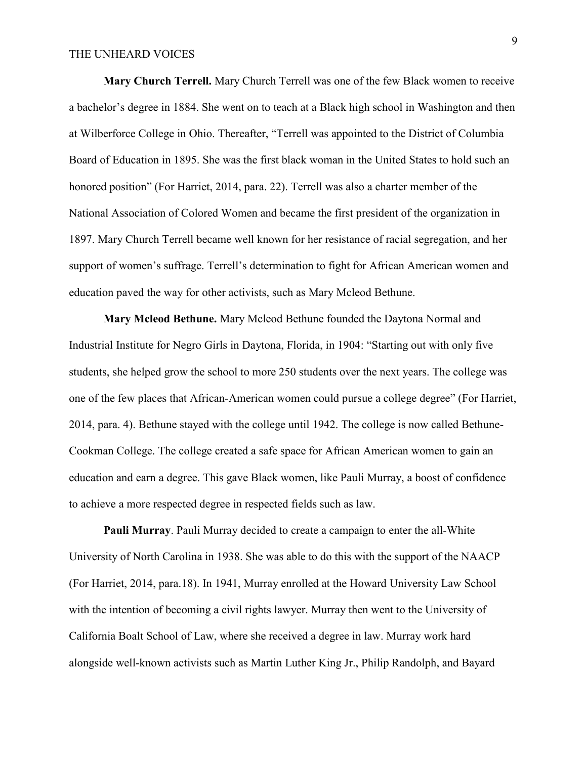**Mary Church Terrell.** Mary Church Terrell was one of the few Black women to receive a bachelor's degree in 1884. She went on to teach at a Black high school in Washington and then at Wilberforce College in Ohio. Thereafter, "Terrell was appointed to the District of Columbia Board of Education in 1895. She was the first black woman in the United States to hold such an honored position" (For Harriet, 2014, para. 22). Terrell was also a charter member of the National Association of Colored Women and became the first president of the organization in 1897. Mary Church Terrell became well known for her resistance of racial segregation, and her support of women's suffrage. Terrell's determination to fight for African American women and education paved the way for other activists, such as Mary Mcleod Bethune.

**Mary Mcleod Bethune.** Mary Mcleod Bethune founded the Daytona Normal and Industrial Institute for Negro Girls in Daytona, Florida, in 1904: "Starting out with only five students, she helped grow the school to more 250 students over the next years. The college was one of the few places that African-American women could pursue a college degree" (For Harriet, 2014, para. 4). Bethune stayed with the college until 1942. The college is now called Bethune-Cookman College. The college created a safe space for African American women to gain an education and earn a degree. This gave Black women, like Pauli Murray, a boost of confidence to achieve a more respected degree in respected fields such as law.

**Pauli Murray**. Pauli Murray decided to create a campaign to enter the all-White University of North Carolina in 1938. She was able to do this with the support of the NAACP (For Harriet, 2014, para.18). In 1941, Murray enrolled at the Howard University Law School with the intention of becoming a civil rights lawyer. Murray then went to the University of California Boalt School of Law, where she received a degree in law. Murray work hard alongside well-known activists such as Martin Luther King Jr., Philip Randolph, and Bayard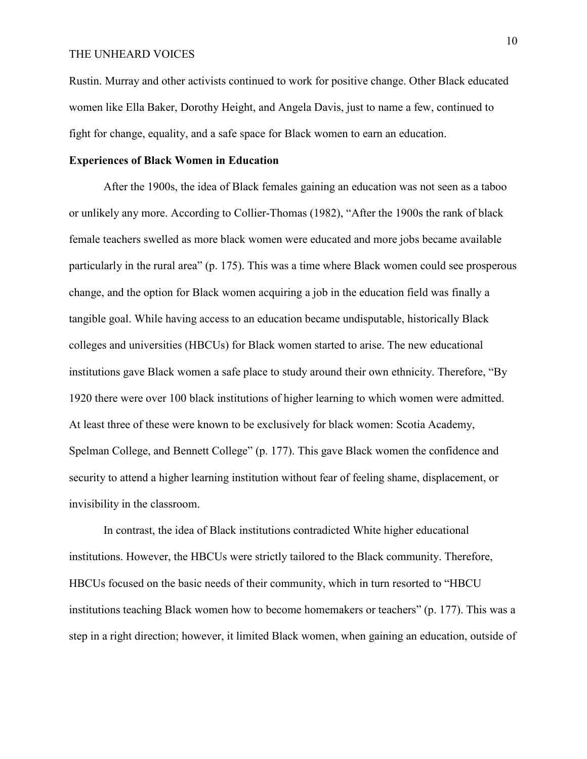Rustin. Murray and other activists continued to work for positive change. Other Black educated women like Ella Baker, Dorothy Height, and Angela Davis, just to name a few, continued to fight for change, equality, and a safe space for Black women to earn an education.

#### **Experiences of Black Women in Education**

After the 1900s, the idea of Black females gaining an education was not seen as a taboo or unlikely any more. According to Collier-Thomas (1982), "After the 1900s the rank of black female teachers swelled as more black women were educated and more jobs became available particularly in the rural area" (p. 175). This was a time where Black women could see prosperous change, and the option for Black women acquiring a job in the education field was finally a tangible goal. While having access to an education became undisputable, historically Black colleges and universities (HBCUs) for Black women started to arise. The new educational institutions gave Black women a safe place to study around their own ethnicity. Therefore, "By 1920 there were over 100 black institutions of higher learning to which women were admitted. At least three of these were known to be exclusively for black women: Scotia Academy, Spelman College, and Bennett College" (p. 177). This gave Black women the confidence and security to attend a higher learning institution without fear of feeling shame, displacement, or invisibility in the classroom.

In contrast, the idea of Black institutions contradicted White higher educational institutions. However, the HBCUs were strictly tailored to the Black community. Therefore, HBCUs focused on the basic needs of their community, which in turn resorted to "HBCU institutions teaching Black women how to become homemakers or teachers" (p. 177). This was a step in a right direction; however, it limited Black women, when gaining an education, outside of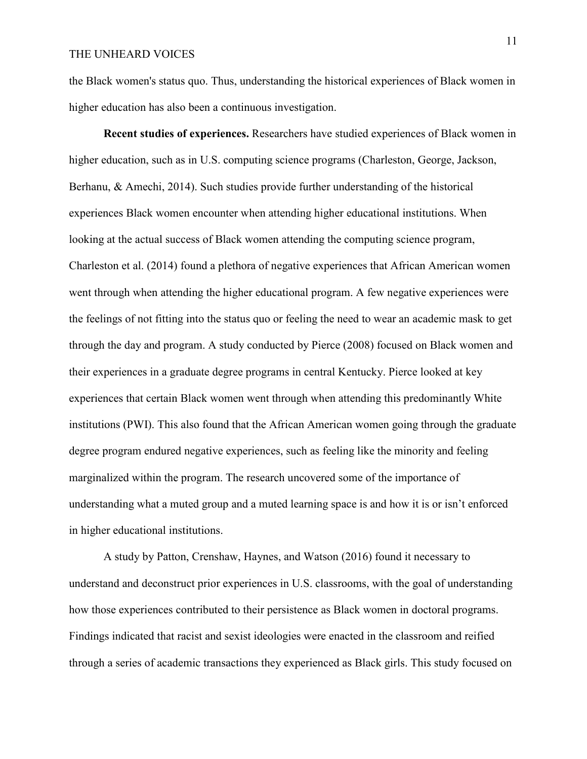the Black women's status quo. Thus, understanding the historical experiences of Black women in higher education has also been a continuous investigation.

**Recent studies of experiences.** Researchers have studied experiences of Black women in higher education, such as in U.S. computing science programs (Charleston, George, Jackson, Berhanu, & Amechi, 2014). Such studies provide further understanding of the historical experiences Black women encounter when attending higher educational institutions. When looking at the actual success of Black women attending the computing science program, Charleston et al. (2014) found a plethora of negative experiences that African American women went through when attending the higher educational program. A few negative experiences were the feelings of not fitting into the status quo or feeling the need to wear an academic mask to get through the day and program. A study conducted by Pierce (2008) focused on Black women and their experiences in a graduate degree programs in central Kentucky. Pierce looked at key experiences that certain Black women went through when attending this predominantly White institutions (PWI). This also found that the African American women going through the graduate degree program endured negative experiences, such as feeling like the minority and feeling marginalized within the program. The research uncovered some of the importance of understanding what a muted group and a muted learning space is and how it is or isn't enforced in higher educational institutions.

A study by Patton, Crenshaw, Haynes, and Watson (2016) found it necessary to understand and deconstruct prior experiences in U.S. classrooms, with the goal of understanding how those experiences contributed to their persistence as Black women in doctoral programs. Findings indicated that racist and sexist ideologies were enacted in the classroom and reified through a series of academic transactions they experienced as Black girls. This study focused on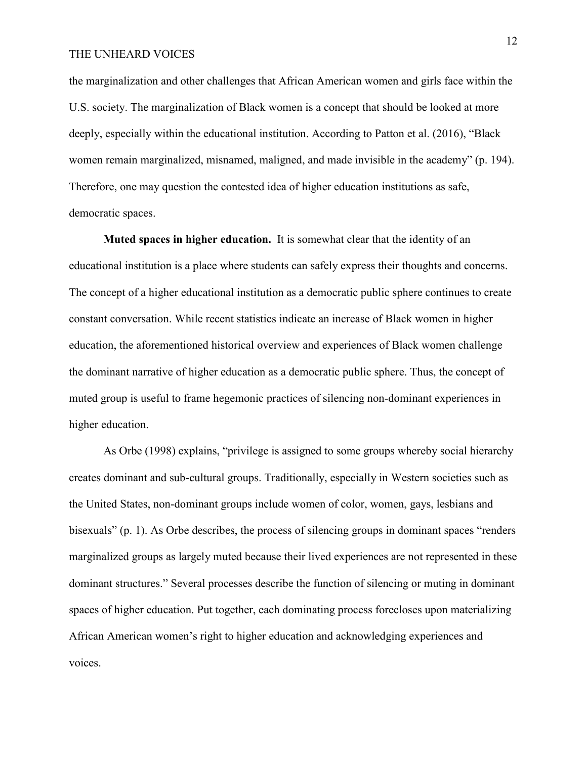the marginalization and other challenges that African American women and girls face within the U.S. society. The marginalization of Black women is a concept that should be looked at more deeply, especially within the educational institution. According to Patton et al. (2016), "Black women remain marginalized, misnamed, maligned, and made invisible in the academy" (p. 194). Therefore, one may question the contested idea of higher education institutions as safe, democratic spaces.

**Muted spaces in higher education.** It is somewhat clear that the identity of an educational institution is a place where students can safely express their thoughts and concerns. The concept of a higher educational institution as a democratic public sphere continues to create constant conversation. While recent statistics indicate an increase of Black women in higher education, the aforementioned historical overview and experiences of Black women challenge the dominant narrative of higher education as a democratic public sphere. Thus, the concept of muted group is useful to frame hegemonic practices of silencing non-dominant experiences in higher education.

As Orbe (1998) explains, "privilege is assigned to some groups whereby social hierarchy creates dominant and sub-cultural groups. Traditionally, especially in Western societies such as the United States, non-dominant groups include women of color, women, gays, lesbians and bisexuals" (p. 1). As Orbe describes, the process of silencing groups in dominant spaces "renders marginalized groups as largely muted because their lived experiences are not represented in these dominant structures." Several processes describe the function of silencing or muting in dominant spaces of higher education. Put together, each dominating process forecloses upon materializing African American women's right to higher education and acknowledging experiences and voices.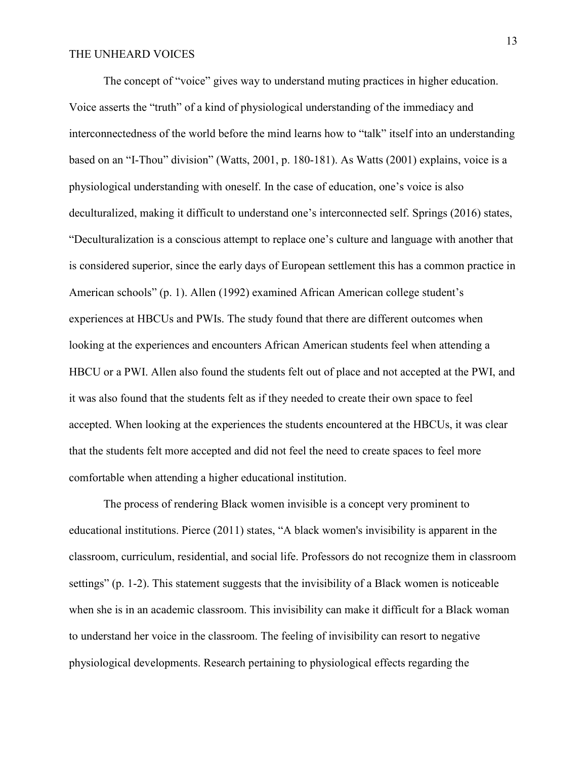The concept of "voice" gives way to understand muting practices in higher education. Voice asserts the "truth" of a kind of physiological understanding of the immediacy and interconnectedness of the world before the mind learns how to "talk" itself into an understanding based on an "I-Thou" division" (Watts, 2001, p. 180-181). As Watts (2001) explains, voice is a physiological understanding with oneself. In the case of education, one's voice is also deculturalized, making it difficult to understand one's interconnected self. Springs (2016) states, "Deculturalization is a conscious attempt to replace one's culture and language with another that is considered superior, since the early days of European settlement this has a common practice in American schools" (p. 1). Allen (1992) examined African American college student's experiences at HBCUs and PWIs. The study found that there are different outcomes when looking at the experiences and encounters African American students feel when attending a HBCU or a PWI. Allen also found the students felt out of place and not accepted at the PWI, and it was also found that the students felt as if they needed to create their own space to feel accepted. When looking at the experiences the students encountered at the HBCUs, it was clear that the students felt more accepted and did not feel the need to create spaces to feel more comfortable when attending a higher educational institution.

The process of rendering Black women invisible is a concept very prominent to educational institutions. Pierce (2011) states, "A black women's invisibility is apparent in the classroom, curriculum, residential, and social life. Professors do not recognize them in classroom settings" (p. 1-2). This statement suggests that the invisibility of a Black women is noticeable when she is in an academic classroom. This invisibility can make it difficult for a Black woman to understand her voice in the classroom. The feeling of invisibility can resort to negative physiological developments. Research pertaining to physiological effects regarding the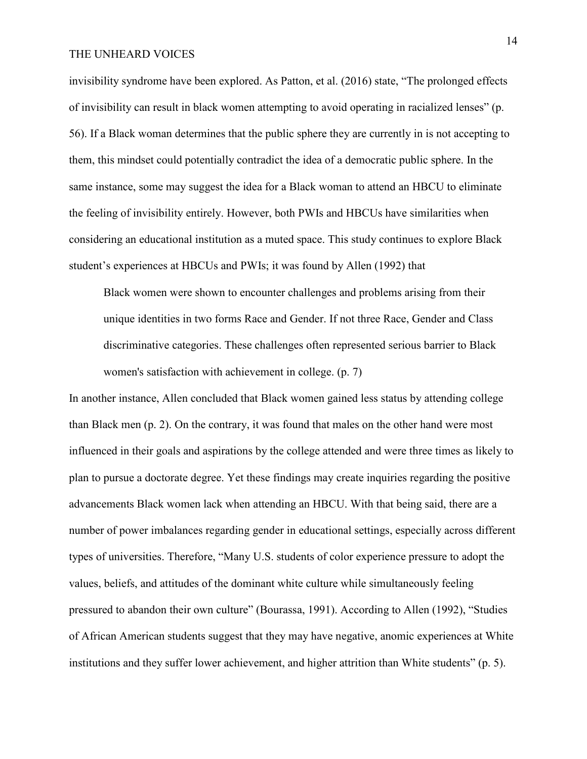invisibility syndrome have been explored. As Patton, et al. (2016) state, "The prolonged effects of invisibility can result in black women attempting to avoid operating in racialized lenses" (p. 56). If a Black woman determines that the public sphere they are currently in is not accepting to them, this mindset could potentially contradict the idea of a democratic public sphere. In the same instance, some may suggest the idea for a Black woman to attend an HBCU to eliminate the feeling of invisibility entirely. However, both PWIs and HBCUs have similarities when considering an educational institution as a muted space. This study continues to explore Black student's experiences at HBCUs and PWIs; it was found by Allen (1992) that

Black women were shown to encounter challenges and problems arising from their unique identities in two forms Race and Gender. If not three Race, Gender and Class discriminative categories. These challenges often represented serious barrier to Black women's satisfaction with achievement in college. (p. 7)

In another instance, Allen concluded that Black women gained less status by attending college than Black men (p. 2). On the contrary, it was found that males on the other hand were most influenced in their goals and aspirations by the college attended and were three times as likely to plan to pursue a doctorate degree. Yet these findings may create inquiries regarding the positive advancements Black women lack when attending an HBCU. With that being said, there are a number of power imbalances regarding gender in educational settings, especially across different types of universities. Therefore, "Many U.S. students of color experience pressure to adopt the values, beliefs, and attitudes of the dominant white culture while simultaneously feeling pressured to abandon their own culture" (Bourassa, 1991). According to Allen (1992), "Studies of African American students suggest that they may have negative, anomic experiences at White institutions and they suffer lower achievement, and higher attrition than White students" (p. 5).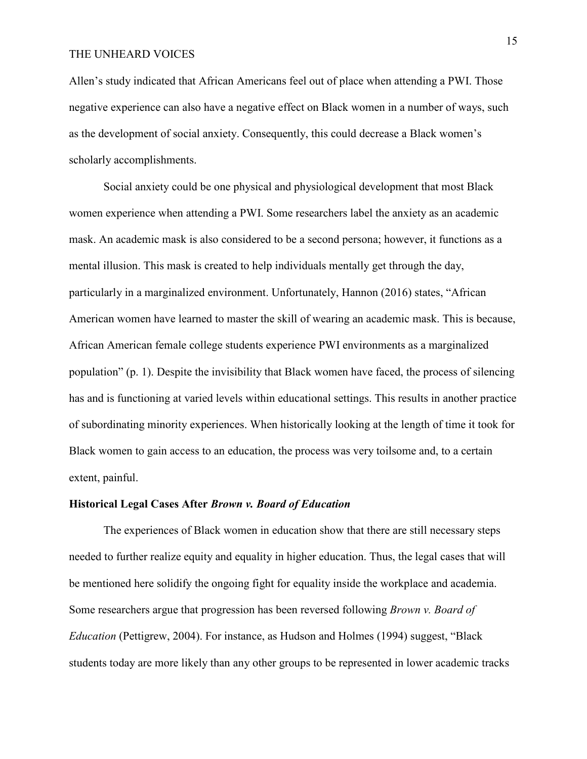Allen's study indicated that African Americans feel out of place when attending a PWI. Those negative experience can also have a negative effect on Black women in a number of ways, such as the development of social anxiety. Consequently, this could decrease a Black women's scholarly accomplishments.

Social anxiety could be one physical and physiological development that most Black women experience when attending a PWI. Some researchers label the anxiety as an academic mask. An academic mask is also considered to be a second persona; however, it functions as a mental illusion. This mask is created to help individuals mentally get through the day, particularly in a marginalized environment. Unfortunately, Hannon (2016) states, "African American women have learned to master the skill of wearing an academic mask. This is because, African American female college students experience PWI environments as a marginalized population" (p. 1). Despite the invisibility that Black women have faced, the process of silencing has and is functioning at varied levels within educational settings. This results in another practice of subordinating minority experiences. When historically looking at the length of time it took for Black women to gain access to an education, the process was very toilsome and, to a certain extent, painful.

#### **Historical Legal Cases After** *Brown v. Board of Education*

The experiences of Black women in education show that there are still necessary steps needed to further realize equity and equality in higher education. Thus, the legal cases that will be mentioned here solidify the ongoing fight for equality inside the workplace and academia. Some researchers argue that progression has been reversed following *Brown v. Board of Education* (Pettigrew, 2004). For instance, as Hudson and Holmes (1994) suggest, "Black students today are more likely than any other groups to be represented in lower academic tracks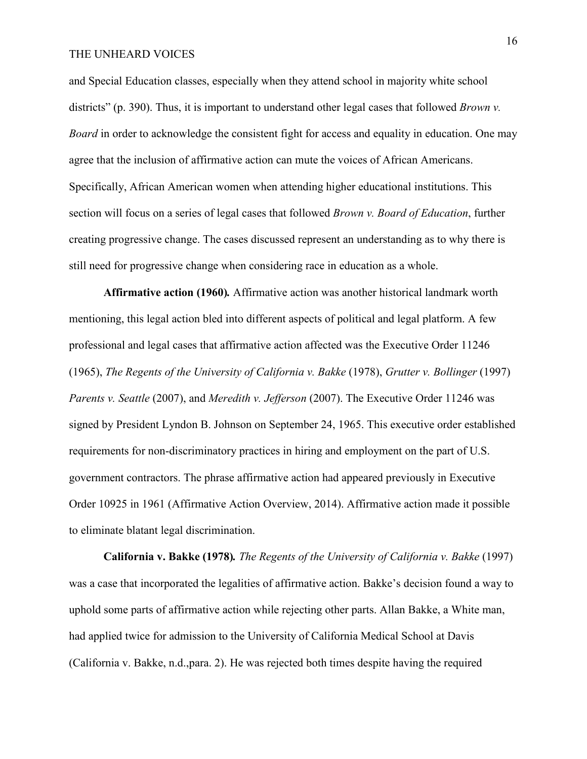and Special Education classes, especially when they attend school in majority white school districts" (p. 390). Thus, it is important to understand other legal cases that followed *Brown v*. *Board* in order to acknowledge the consistent fight for access and equality in education. One may agree that the inclusion of affirmative action can mute the voices of African Americans. Specifically, African American women when attending higher educational institutions. This section will focus on a series of legal cases that followed *Brown v. Board of Education*, further creating progressive change. The cases discussed represent an understanding as to why there is still need for progressive change when considering race in education as a whole.

**Affirmative action (1960)***.* Affirmative action was another historical landmark worth mentioning, this legal action bled into different aspects of political and legal platform. A few professional and legal cases that affirmative action affected was the Executive Order 11246 (1965), *The Regents of the University of California v. Bakke* (1978), *Grutter v. Bollinger* (1997) *Parents v. Seattle* (2007), and *Meredith v. Jefferson* (2007). The Executive Order 11246 was signed by President Lyndon B. Johnson on September 24, 1965. This executive order established requirements for non-discriminatory practices in hiring and employment on the part of U.S. government contractors. The phrase affirmative action had appeared previously in Executive Order 10925 in 1961 (Affirmative Action Overview, 2014). Affirmative action made it possible to eliminate blatant legal discrimination.

**California v. Bakke (1978)***. The Regents of the University of California v. Bakke* (1997) was a case that incorporated the legalities of affirmative action. Bakke's decision found a way to uphold some parts of affirmative action while rejecting other parts. Allan Bakke, a White man, had applied twice for admission to the University of California Medical School at Davis (California v. Bakke, n.d.,para. 2). He was rejected both times despite having the required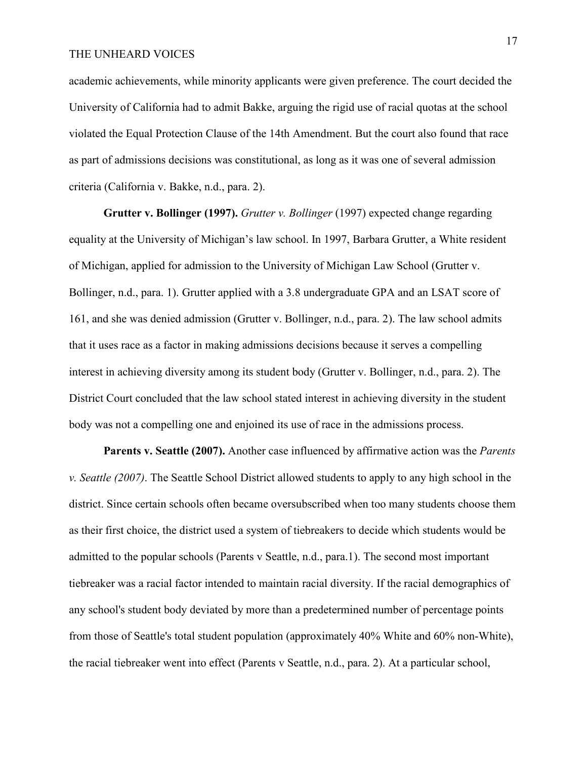academic achievements, while minority applicants were given preference. The court decided the University of California had to admit Bakke, arguing the rigid use of racial quotas at the school violated the Equal Protection Clause of the 14th Amendment. But the court also found that race as part of admissions decisions was constitutional, as long as it was one of several admission criteria (California v. Bakke, n.d., para. 2).

**Grutter v. Bollinger (1997).** *Grutter v. Bollinger* (1997) expected change regarding equality at the University of Michigan's law school. In 1997, Barbara Grutter, a White resident of Michigan, applied for admission to the University of Michigan Law School (Grutter v. Bollinger, n.d., para. 1). Grutter applied with a 3.8 undergraduate GPA and an LSAT score of 161, and she was denied admission (Grutter v. Bollinger, n.d., para. 2). The law school admits that it uses race as a factor in making admissions decisions because it serves a compelling interest in achieving diversity among its student body (Grutter v. Bollinger, n.d., para. 2). The District Court concluded that the law school stated interest in achieving diversity in the student body was not a compelling one and enjoined its use of race in the admissions process.

**Parents v. Seattle (2007).** Another case influenced by affirmative action was the *Parents v. Seattle (2007)*. The Seattle School District allowed students to apply to any high school in the district. Since certain schools often became oversubscribed when too many students choose them as their first choice, the district used a system of tiebreakers to decide which students would be admitted to the popular schools (Parents v Seattle, n.d., para.1). The second most important tiebreaker was a racial factor intended to maintain racial diversity. If the racial demographics of any school's student body deviated by more than a predetermined number of percentage points from those of Seattle's total student population (approximately 40% White and 60% non-White), the racial tiebreaker went into effect (Parents v Seattle, n.d., para. 2). At a particular school,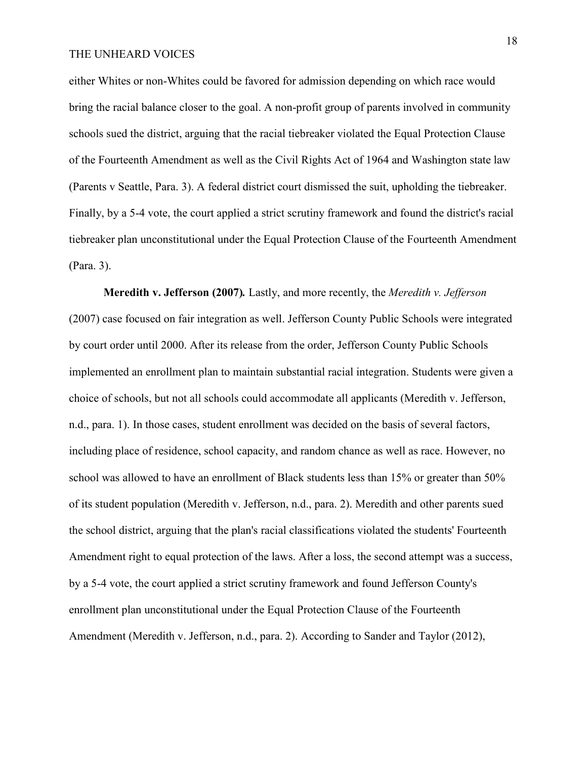either Whites or non-Whites could be favored for admission depending on which race would bring the racial balance closer to the goal. A non-profit group of parents involved in community schools sued the district, arguing that the racial tiebreaker violated the Equal Protection Clause of the Fourteenth Amendment as well as the Civil Rights Act of 1964 and Washington state law (Parents v Seattle, Para. 3). A federal district court dismissed the suit, upholding the tiebreaker. Finally, by a 5-4 vote, the court applied a strict scrutiny framework and found the district's racial tiebreaker plan unconstitutional under the Equal Protection Clause of the Fourteenth Amendment (Para. 3).

**Meredith v. Jefferson (2007)***.* Lastly, and more recently, the *Meredith v. Jefferson* (2007) case focused on fair integration as well. Jefferson County Public Schools were integrated by court order until 2000. After its release from the order, Jefferson County Public Schools implemented an enrollment plan to maintain substantial racial integration. Students were given a choice of schools, but not all schools could accommodate all applicants (Meredith v. Jefferson, n.d., para. 1). In those cases, student enrollment was decided on the basis of several factors, including place of residence, school capacity, and random chance as well as race. However, no school was allowed to have an enrollment of Black students less than 15% or greater than 50% of its student population (Meredith v. Jefferson, n.d., para. 2). Meredith and other parents sued the school district, arguing that the plan's racial classifications violated the students' Fourteenth Amendment right to equal protection of the laws. After a loss, the second attempt was a success, by a 5-4 vote, the court applied a strict scrutiny framework and found Jefferson County's enrollment plan unconstitutional under the Equal Protection Clause of the Fourteenth Amendment (Meredith v. Jefferson, n.d., para. 2). According to Sander and Taylor (2012),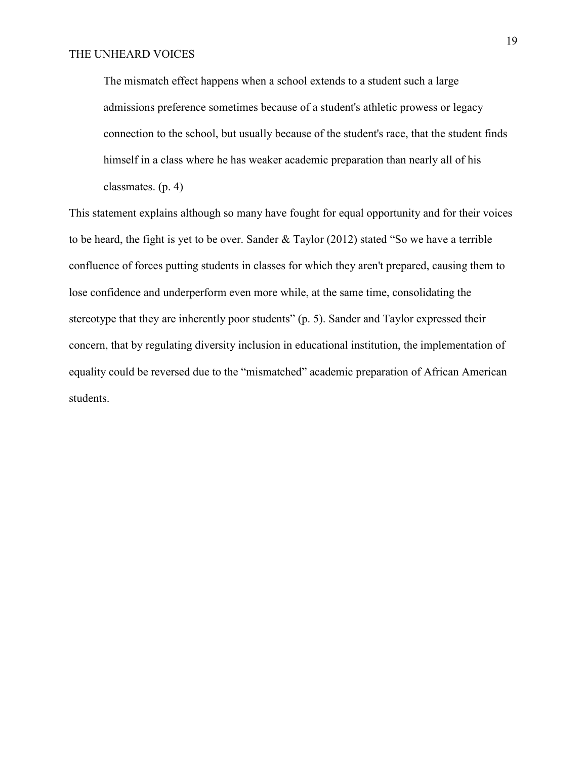The mismatch effect happens when a school extends to a student such a large admissions preference sometimes because of a student's athletic prowess or legacy connection to the school, but usually because of the student's race, that the student finds himself in a class where he has weaker academic preparation than nearly all of his classmates. (p. 4)

This statement explains although so many have fought for equal opportunity and for their voices to be heard, the fight is yet to be over. Sander & Taylor (2012) stated "So we have a terrible confluence of forces putting students in classes for which they aren't prepared, causing them to lose confidence and underperform even more while, at the same time, consolidating the stereotype that they are inherently poor students" (p. 5). Sander and Taylor expressed their concern, that by regulating diversity inclusion in educational institution, the implementation of equality could be reversed due to the "mismatched" academic preparation of African American students.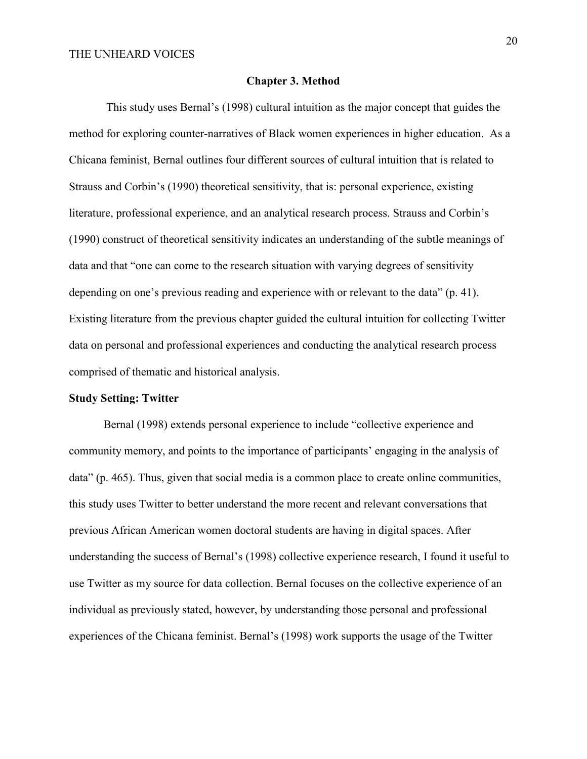#### **Chapter 3. Method**

 This study uses Bernal's (1998) cultural intuition as the major concept that guides the method for exploring counter-narratives of Black women experiences in higher education. As a Chicana feminist, Bernal outlines four different sources of cultural intuition that is related to Strauss and Corbin's (1990) theoretical sensitivity, that is: personal experience, existing literature, professional experience, and an analytical research process. Strauss and Corbin's (1990) construct of theoretical sensitivity indicates an understanding of the subtle meanings of data and that "one can come to the research situation with varying degrees of sensitivity depending on one's previous reading and experience with or relevant to the data" (p. 41). Existing literature from the previous chapter guided the cultural intuition for collecting Twitter data on personal and professional experiences and conducting the analytical research process comprised of thematic and historical analysis.

## **Study Setting: Twitter**

Bernal (1998) extends personal experience to include "collective experience and community memory, and points to the importance of participants' engaging in the analysis of data" (p. 465). Thus, given that social media is a common place to create online communities, this study uses Twitter to better understand the more recent and relevant conversations that previous African American women doctoral students are having in digital spaces. After understanding the success of Bernal's (1998) collective experience research, I found it useful to use Twitter as my source for data collection. Bernal focuses on the collective experience of an individual as previously stated, however, by understanding those personal and professional experiences of the Chicana feminist. Bernal's (1998) work supports the usage of the Twitter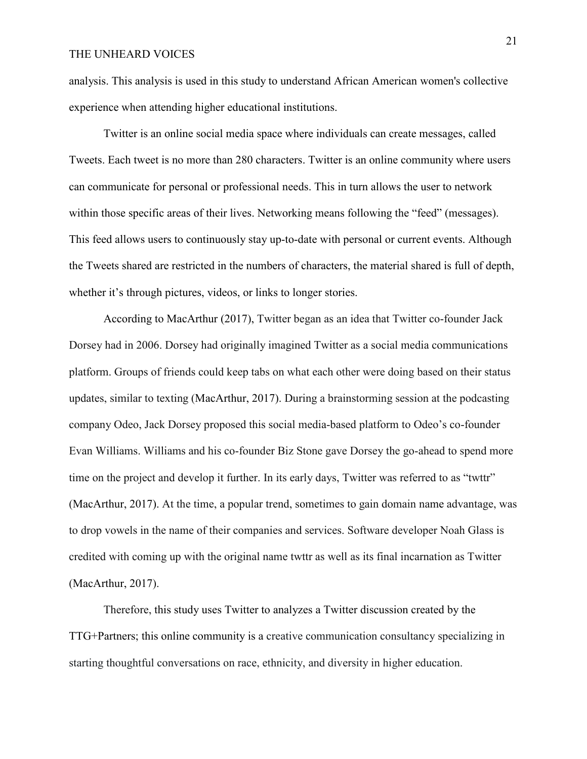analysis. This analysis is used in this study to understand African American women's collective experience when attending higher educational institutions.

Twitter is an online social media space where individuals can create messages, called Tweets. Each tweet is no more than 280 characters. Twitter is an online community where users can communicate for personal or professional needs. This in turn allows the user to network within those specific areas of their lives. Networking means following the "feed" (messages). This feed allows users to continuously stay up-to-date with personal or current events. Although the Tweets shared are restricted in the numbers of characters, the material shared is full of depth, whether it's through pictures, videos, or links to longer stories.

According to MacArthur (2017), Twitter began as an idea that Twitter co-founder Jack Dorsey had in 2006. Dorsey had originally imagined Twitter as a social media communications platform. Groups of friends could keep tabs on what each other were doing based on their status updates, similar to texting (MacArthur, 2017). During a brainstorming session at the podcasting company Odeo, Jack Dorsey proposed this social media-based platform to Odeo's co-founder Evan Williams. Williams and his co-founder Biz Stone gave Dorsey the go-ahead to spend more time on the project and develop it further. In its early days, Twitter was referred to as "twttr" (MacArthur, 2017). At the time, a popular trend, sometimes to gain domain name advantage, was to drop vowels in the name of their companies and services. Software developer Noah Glass is credited with coming up with the original name twttr as well as its final incarnation as Twitter (MacArthur, 2017).

Therefore, this study uses Twitter to analyzes a Twitter discussion created by the TTG+Partners; this online community is a creative communication consultancy specializing in starting thoughtful conversations on race, ethnicity, and diversity in higher education.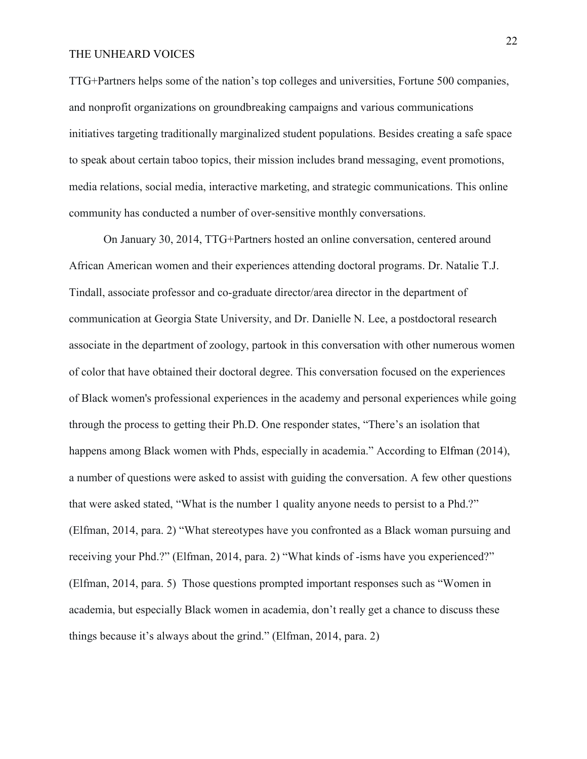TTG+Partners helps some of the nation's top colleges and universities, Fortune 500 companies, and nonprofit organizations on groundbreaking campaigns and various communications initiatives targeting traditionally marginalized student populations. Besides creating a safe space to speak about certain taboo topics, their mission includes brand messaging, event promotions, media relations, social media, interactive marketing, and strategic communications. This online community has conducted a number of over-sensitive monthly conversations.

On January 30, 2014, TTG+Partners hosted an online conversation, centered around African American women and their experiences attending doctoral programs. Dr. Natalie T.J. Tindall, associate professor and co-graduate director/area director in the department of communication at Georgia State University, and Dr. Danielle N. Lee, a postdoctoral research associate in the department of zoology, partook in this conversation with other numerous women of color that have obtained their doctoral degree. This conversation focused on the experiences of Black women's professional experiences in the academy and personal experiences while going through the process to getting their Ph.D. One responder states, "There's an isolation that happens among Black women with Phds, especially in academia." According to Elfman (2014), a number of questions were asked to assist with guiding the conversation. A few other questions that were asked stated, "What is the number 1 quality anyone needs to persist to a Phd.?" (Elfman, 2014, para. 2) "What stereotypes have you confronted as a Black woman pursuing and receiving your Phd.?" (Elfman, 2014, para. 2) "What kinds of -isms have you experienced?" (Elfman, 2014, para. 5) Those questions prompted important responses such as "Women in academia, but especially Black women in academia, don't really get a chance to discuss these things because it's always about the grind." (Elfman, 2014, para. 2)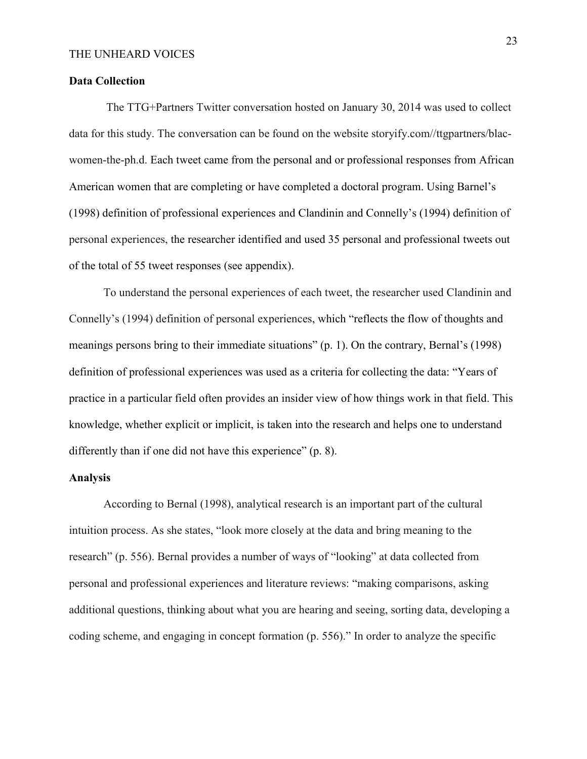#### **Data Collection**

 The TTG+Partners Twitter conversation hosted on January 30, 2014 was used to collect data for this study. The conversation can be found on the website storyify.com//ttgpartners/blacwomen-the-ph.d. Each tweet came from the personal and or professional responses from African American women that are completing or have completed a doctoral program. Using Barnel's (1998) definition of professional experiences and Clandinin and Connelly's (1994) definition of personal experiences, the researcher identified and used 35 personal and professional tweets out of the total of 55 tweet responses (see appendix).

To understand the personal experiences of each tweet, the researcher used Clandinin and Connelly's (1994) definition of personal experiences, which "reflects the flow of thoughts and meanings persons bring to their immediate situations" (p. 1). On the contrary, Bernal's (1998) definition of professional experiences was used as a criteria for collecting the data: "Years of practice in a particular field often provides an insider view of how things work in that field. This knowledge, whether explicit or implicit, is taken into the research and helps one to understand differently than if one did not have this experience" (p. 8).

### **Analysis**

According to Bernal (1998), analytical research is an important part of the cultural intuition process. As she states, "look more closely at the data and bring meaning to the research" (p. 556). Bernal provides a number of ways of "looking" at data collected from personal and professional experiences and literature reviews: "making comparisons, asking additional questions, thinking about what you are hearing and seeing, sorting data, developing a coding scheme, and engaging in concept formation (p. 556)." In order to analyze the specific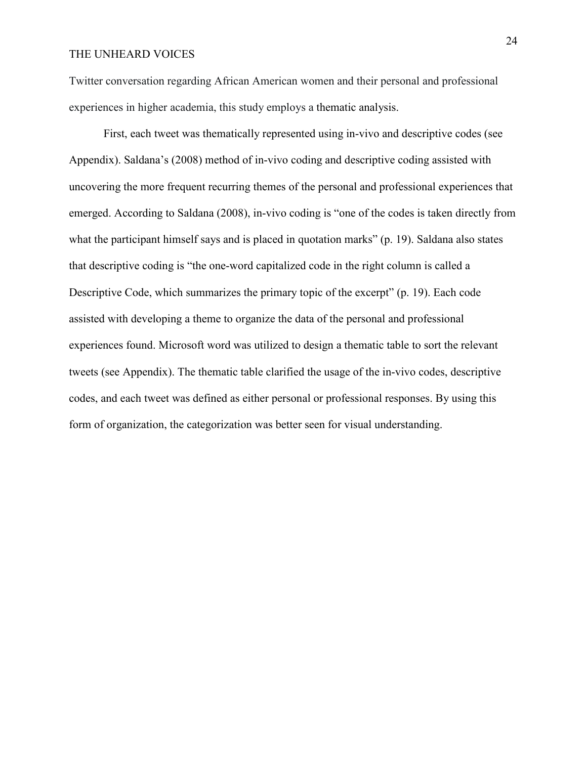Twitter conversation regarding African American women and their personal and professional experiences in higher academia, this study employs a thematic analysis.

First, each tweet was thematically represented using in-vivo and descriptive codes (see Appendix). Saldana's (2008) method of in-vivo coding and descriptive coding assisted with uncovering the more frequent recurring themes of the personal and professional experiences that emerged. According to Saldana (2008), in-vivo coding is "one of the codes is taken directly from what the participant himself says and is placed in quotation marks" (p. 19). Saldana also states that descriptive coding is "the one-word capitalized code in the right column is called a Descriptive Code, which summarizes the primary topic of the excerpt" (p. 19). Each code assisted with developing a theme to organize the data of the personal and professional experiences found. Microsoft word was utilized to design a thematic table to sort the relevant tweets (see Appendix). The thematic table clarified the usage of the in-vivo codes, descriptive codes, and each tweet was defined as either personal or professional responses. By using this form of organization, the categorization was better seen for visual understanding.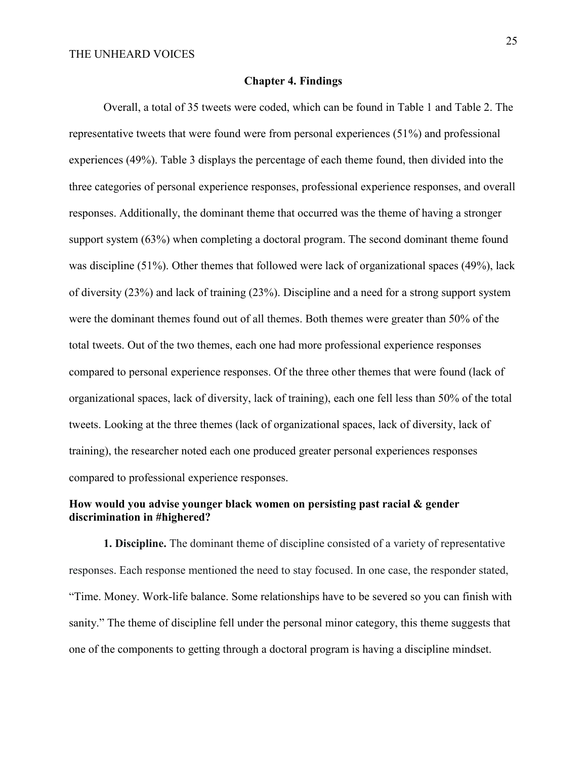#### **Chapter 4. Findings**

Overall, a total of 35 tweets were coded, which can be found in Table 1 and Table 2. The representative tweets that were found were from personal experiences (51%) and professional experiences (49%). Table 3 displays the percentage of each theme found, then divided into the three categories of personal experience responses, professional experience responses, and overall responses. Additionally, the dominant theme that occurred was the theme of having a stronger support system (63%) when completing a doctoral program. The second dominant theme found was discipline (51%). Other themes that followed were lack of organizational spaces (49%), lack of diversity (23%) and lack of training (23%). Discipline and a need for a strong support system were the dominant themes found out of all themes. Both themes were greater than 50% of the total tweets. Out of the two themes, each one had more professional experience responses compared to personal experience responses. Of the three other themes that were found (lack of organizational spaces, lack of diversity, lack of training), each one fell less than 50% of the total tweets. Looking at the three themes (lack of organizational spaces, lack of diversity, lack of training), the researcher noted each one produced greater personal experiences responses compared to professional experience responses.

# **How would you advise younger black women on persisting past racial & gender discrimination in #highered?**

**1. Discipline.** The dominant theme of discipline consisted of a variety of representative responses. Each response mentioned the need to stay focused. In one case, the responder stated, "Time. Money. Work-life balance. Some relationships have to be severed so you can finish with sanity." The theme of discipline fell under the personal minor category, this theme suggests that one of the components to getting through a doctoral program is having a discipline mindset.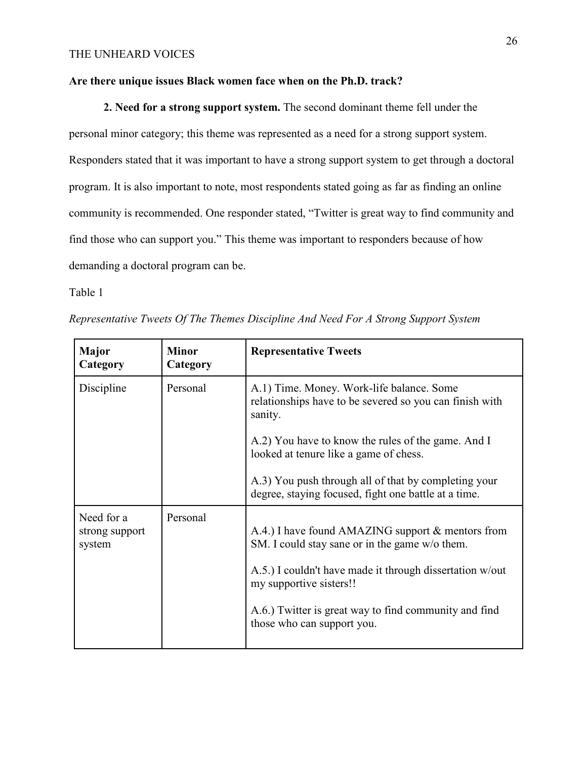# **Are there unique issues Black women face when on the Ph.D. track?**

**2. Need for a strong support system.** The second dominant theme fell under the personal minor category; this theme was represented as a need for a strong support system. Responders stated that it was important to have a strong support system to get through a doctoral program. It is also important to note, most respondents stated going as far as finding an online community is recommended. One responder stated, "Twitter is great way to find community and find those who can support you." This theme was important to responders because of how demanding a doctoral program can be.

Table 1

| Representative Tweets Of The Themes Discipline And Need For A Strong Support System |  |  |  |  |
|-------------------------------------------------------------------------------------|--|--|--|--|
|-------------------------------------------------------------------------------------|--|--|--|--|

| <b>Minor</b><br>Category | <b>Representative Tweets</b>                                                                                                                                                                                                                                                      |
|--------------------------|-----------------------------------------------------------------------------------------------------------------------------------------------------------------------------------------------------------------------------------------------------------------------------------|
| Personal                 | A.1) Time. Money. Work-life balance. Some<br>relationships have to be severed so you can finish with<br>sanity.                                                                                                                                                                   |
|                          | A.2) You have to know the rules of the game. And I<br>looked at tenure like a game of chess.                                                                                                                                                                                      |
|                          | A.3) You push through all of that by completing your<br>degree, staying focused, fight one battle at a time.                                                                                                                                                                      |
| Personal                 | A.4.) I have found AMAZING support & mentors from<br>SM. I could stay sane or in the game w/o them.<br>A.5.) I couldn't have made it through dissertation w/out<br>my supportive sisters!!<br>A.6.) Twitter is great way to find community and find<br>those who can support you. |
|                          |                                                                                                                                                                                                                                                                                   |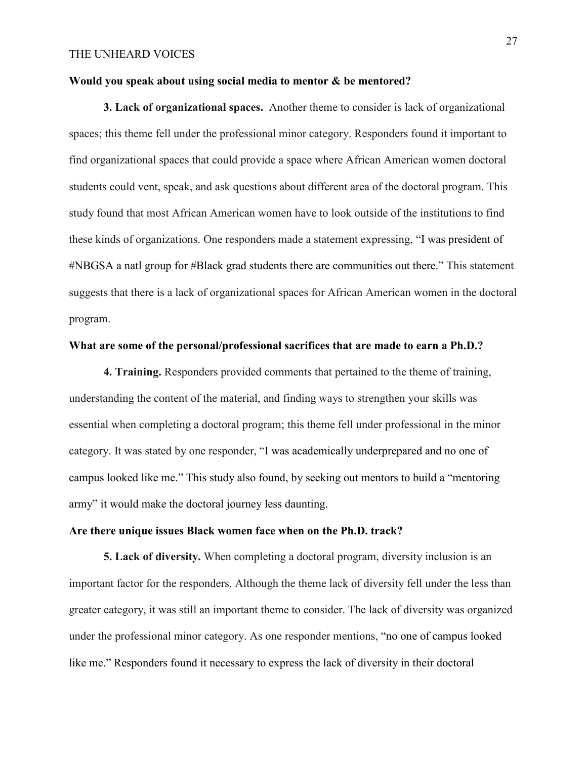### **Would you speak about using social media to mentor & be mentored?**

**3. Lack of organizational spaces.** Another theme to consider is lack of organizational spaces; this theme fell under the professional minor category. Responders found it important to find organizational spaces that could provide a space where African American women doctoral students could vent, speak, and ask questions about different area of the doctoral program. This study found that most African American women have to look outside of the institutions to find these kinds of organizations. One responders made a statement expressing, "I was president of #NBGSA a natl group for #Black grad students there are communities out there." This statement suggests that there is a lack of organizational spaces for African American women in the doctoral program.

# **What are some of the personal/professional sacrifices that are made to earn a Ph.D.?**

**4. Training.** Responders provided comments that pertained to the theme of training, understanding the content of the material, and finding ways to strengthen your skills was essential when completing a doctoral program; this theme fell under professional in the minor category. It was stated by one responder, "I was academically underprepared and no one of campus looked like me." This study also found, by seeking out mentors to build a "mentoring army" it would make the doctoral journey less daunting.

## **Are there unique issues Black women face when on the Ph.D. track?**

**5. Lack of diversity.** When completing a doctoral program, diversity inclusion is an important factor for the responders. Although the theme lack of diversity fell under the less than greater category, it was still an important theme to consider. The lack of diversity was organized under the professional minor category. As one responder mentions, "no one of campus looked like me." Responders found it necessary to express the lack of diversity in their doctoral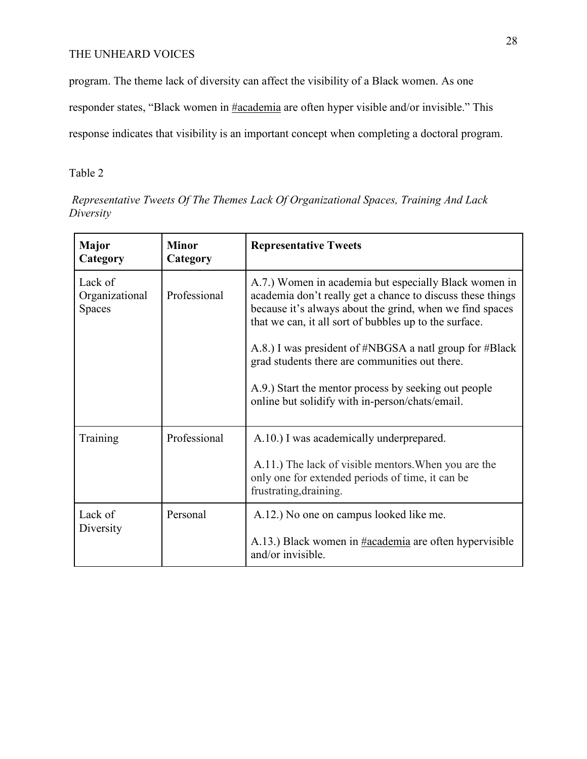program. The theme lack of diversity can affect the visibility of a Black women. As one

responder states, "Black women in #academia are often hyper visible and/or invisible." This

response indicates that visibility is an important concept when completing a doctoral program.

# Table 2

 *Representative Tweets Of The Themes Lack Of Organizational Spaces, Training And Lack Diversity*

| <b>Major</b><br>Category                   | <b>Minor</b><br>Category | <b>Representative Tweets</b>                                                                                                                                                                                                              |
|--------------------------------------------|--------------------------|-------------------------------------------------------------------------------------------------------------------------------------------------------------------------------------------------------------------------------------------|
| Lack of<br>Organizational<br><b>Spaces</b> | Professional             | A.7.) Women in academia but especially Black women in<br>academia don't really get a chance to discuss these things<br>because it's always about the grind, when we find spaces<br>that we can, it all sort of bubbles up to the surface. |
|                                            |                          | A.8.) I was president of #NBGSA a natl group for #Black<br>grad students there are communities out there.                                                                                                                                 |
|                                            |                          | A.9.) Start the mentor process by seeking out people<br>online but solidify with in-person/chats/email.                                                                                                                                   |
| Training                                   | Professional             | A.10.) I was academically underprepared.                                                                                                                                                                                                  |
|                                            |                          | A.11.) The lack of visible mentors. When you are the<br>only one for extended periods of time, it can be<br>frustrating, draining.                                                                                                        |
| Lack of<br>Diversity                       | Personal                 | A.12.) No one on campus looked like me.                                                                                                                                                                                                   |
|                                            |                          | A.13.) Black women in #academia are often hypervisible<br>and/or invisible.                                                                                                                                                               |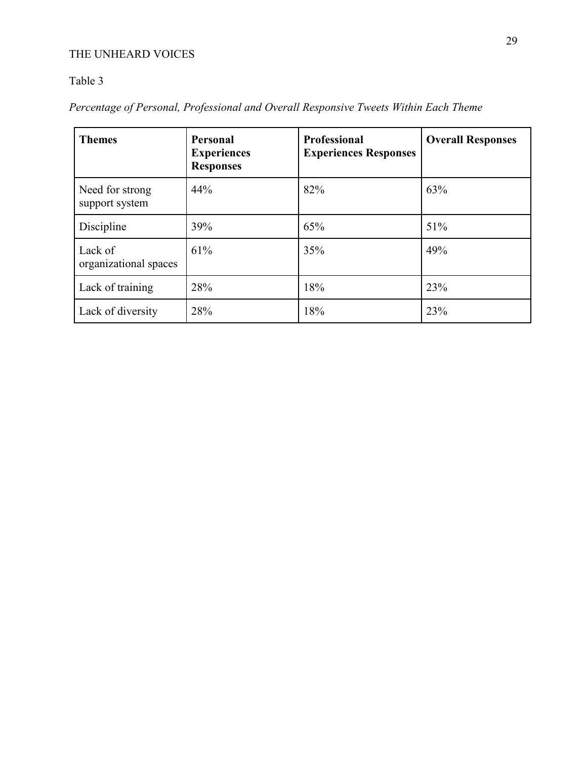# Table 3

*Percentage of Personal, Professional and Overall Responsive Tweets Within Each Theme* 

| <b>Themes</b>                     | <b>Personal</b><br><b>Experiences</b><br><b>Responses</b> | <b>Professional</b><br><b>Experiences Responses</b> | <b>Overall Responses</b> |
|-----------------------------------|-----------------------------------------------------------|-----------------------------------------------------|--------------------------|
| Need for strong<br>support system | 44%                                                       | 82%                                                 | 63%                      |
| Discipline                        | 39%                                                       | 65%                                                 | 51%                      |
| Lack of<br>organizational spaces  | 61%                                                       | 35%                                                 | 49%                      |
| Lack of training                  | 28%                                                       | 18%                                                 | 23%                      |
| Lack of diversity                 | 28%                                                       | 18%                                                 | 23%                      |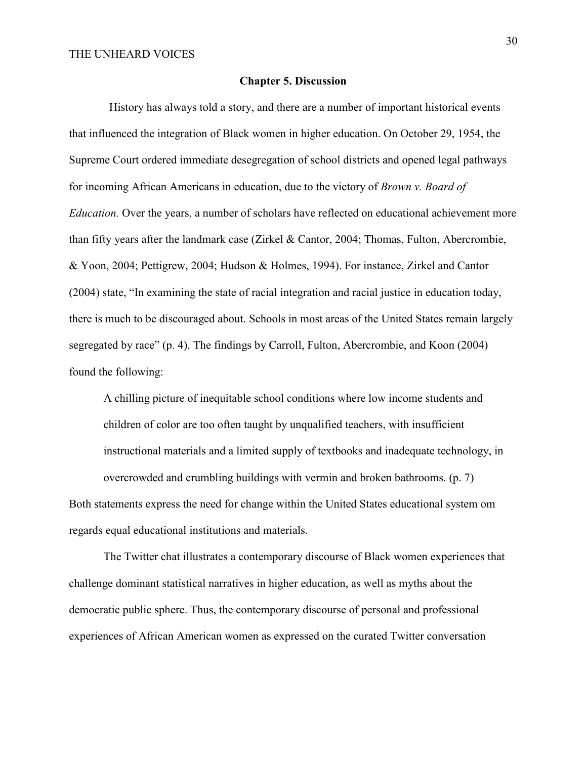#### **Chapter 5. Discussion**

 History has always told a story, and there are a number of important historical events that influenced the integration of Black women in higher education. On October 29, 1954, the Supreme Court ordered immediate desegregation of school districts and opened legal pathways for incoming African Americans in education, due to the victory of *Brown v. Board of Education.* Over the years, a number of scholars have reflected on educational achievement more than fifty years after the landmark case (Zirkel & Cantor, 2004; Thomas, Fulton, Abercrombie, & Yoon, 2004; Pettigrew, 2004; Hudson & Holmes, 1994). For instance, Zirkel and Cantor (2004) state, "In examining the state of racial integration and racial justice in education today, there is much to be discouraged about. Schools in most areas of the United States remain largely segregated by race" (p. 4). The findings by Carroll, Fulton, Abercrombie, and Koon (2004) found the following:

A chilling picture of inequitable school conditions where low income students and children of color are too often taught by unqualified teachers, with insufficient instructional materials and a limited supply of textbooks and inadequate technology, in overcrowded and crumbling buildings with vermin and broken bathrooms. (p. 7) Both statements express the need for change within the United States educational system om regards equal educational institutions and materials.

The Twitter chat illustrates a contemporary discourse of Black women experiences that challenge dominant statistical narratives in higher education, as well as myths about the democratic public sphere. Thus, the contemporary discourse of personal and professional experiences of African American women as expressed on the curated Twitter conversation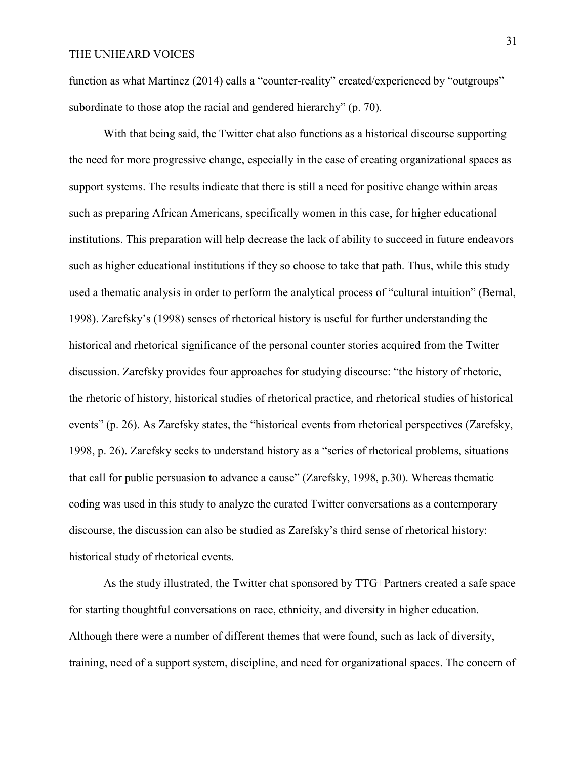function as what Martinez (2014) calls a "counter-reality" created/experienced by "outgroups" subordinate to those atop the racial and gendered hierarchy" (p. 70).

With that being said, the Twitter chat also functions as a historical discourse supporting the need for more progressive change, especially in the case of creating organizational spaces as support systems. The results indicate that there is still a need for positive change within areas such as preparing African Americans, specifically women in this case, for higher educational institutions. This preparation will help decrease the lack of ability to succeed in future endeavors such as higher educational institutions if they so choose to take that path. Thus, while this study used a thematic analysis in order to perform the analytical process of "cultural intuition" (Bernal, 1998). Zarefsky's (1998) senses of rhetorical history is useful for further understanding the historical and rhetorical significance of the personal counter stories acquired from the Twitter discussion. Zarefsky provides four approaches for studying discourse: "the history of rhetoric, the rhetoric of history, historical studies of rhetorical practice, and rhetorical studies of historical events" (p. 26). As Zarefsky states, the "historical events from rhetorical perspectives (Zarefsky, 1998, p. 26). Zarefsky seeks to understand history as a "series of rhetorical problems, situations that call for public persuasion to advance a cause" (Zarefsky, 1998, p.30). Whereas thematic coding was used in this study to analyze the curated Twitter conversations as a contemporary discourse, the discussion can also be studied as Zarefsky's third sense of rhetorical history: historical study of rhetorical events.

As the study illustrated, the Twitter chat sponsored by TTG+Partners created a safe space for starting thoughtful conversations on race, ethnicity, and diversity in higher education. Although there were a number of different themes that were found, such as lack of diversity, training, need of a support system, discipline, and need for organizational spaces. The concern of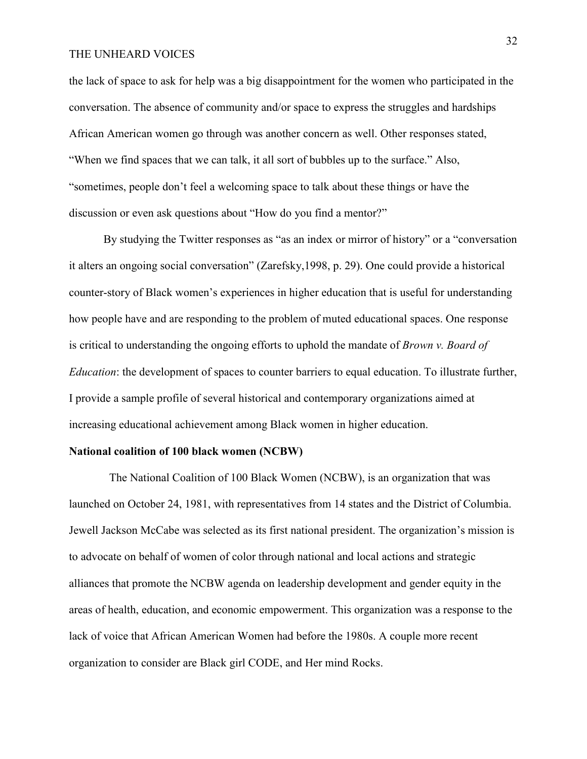the lack of space to ask for help was a big disappointment for the women who participated in the conversation. The absence of community and/or space to express the struggles and hardships African American women go through was another concern as well. Other responses stated, "When we find spaces that we can talk, it all sort of bubbles up to the surface." Also, "sometimes, people don't feel a welcoming space to talk about these things or have the discussion or even ask questions about "How do you find a mentor?"

By studying the Twitter responses as "as an index or mirror of history" or a "conversation it alters an ongoing social conversation" (Zarefsky,1998, p. 29). One could provide a historical counter-story of Black women's experiences in higher education that is useful for understanding how people have and are responding to the problem of muted educational spaces. One response is critical to understanding the ongoing efforts to uphold the mandate of *Brown v. Board of Education*: the development of spaces to counter barriers to equal education. To illustrate further, I provide a sample profile of several historical and contemporary organizations aimed at increasing educational achievement among Black women in higher education.

#### **National coalition of 100 black women (NCBW)**

The National Coalition of 100 Black Women (NCBW), is an organization that was launched on October 24, 1981, with representatives from 14 states and the District of Columbia. Jewell Jackson McCabe was selected as its first national president. The organization's mission is to advocate on behalf of women of color through national and local actions and strategic alliances that promote the NCBW agenda on leadership development and gender equity in the areas of health, education, and economic empowerment. This organization was a response to the lack of voice that African American Women had before the 1980s. A couple more recent organization to consider are Black girl CODE, and Her mind Rocks.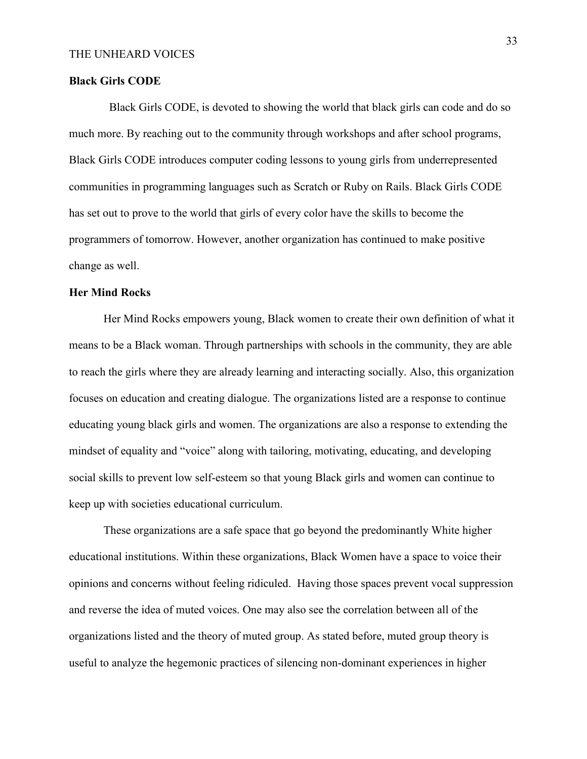#### **Black Girls CODE**

 Black Girls CODE, is devoted to showing the world that black girls can code and do so much more. By reaching out to the community through workshops and after school programs, Black Girls CODE introduces computer coding lessons to young girls from underrepresented communities in programming languages such as Scratch or Ruby on Rails. Black Girls CODE has set out to prove to the world that girls of every color have the skills to become the programmers of tomorrow. However, another organization has continued to make positive change as well.

# **Her Mind Rocks**

Her Mind Rocks empowers young, Black women to create their own definition of what it means to be a Black woman. Through partnerships with schools in the community, they are able to reach the girls where they are already learning and interacting socially. Also, this organization focuses on education and creating dialogue. The organizations listed are a response to continue educating young black girls and women. The organizations are also a response to extending the mindset of equality and "voice" along with tailoring, motivating, educating, and developing social skills to prevent low self-esteem so that young Black girls and women can continue to keep up with societies educational curriculum.

These organizations are a safe space that go beyond the predominantly White higher educational institutions. Within these organizations, Black Women have a space to voice their opinions and concerns without feeling ridiculed. Having those spaces prevent vocal suppression and reverse the idea of muted voices. One may also see the correlation between all of the organizations listed and the theory of muted group. As stated before, muted group theory is useful to analyze the hegemonic practices of silencing non-dominant experiences in higher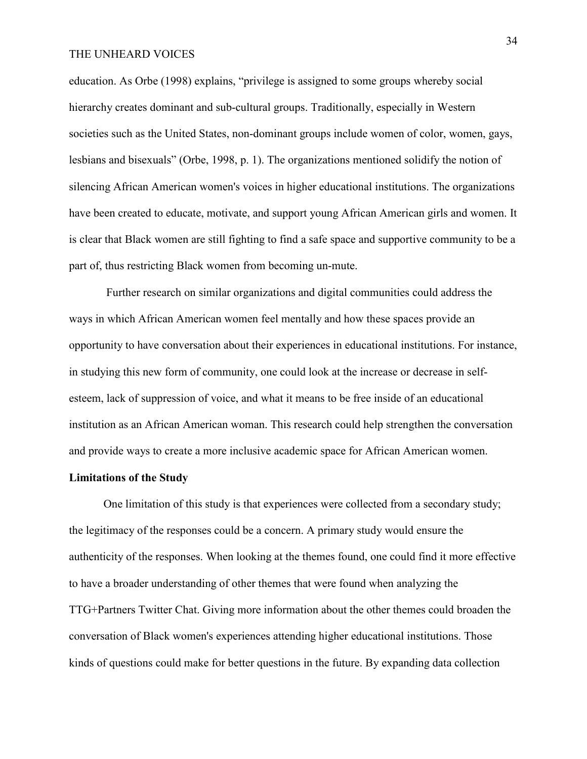education. As Orbe (1998) explains, "privilege is assigned to some groups whereby social hierarchy creates dominant and sub-cultural groups. Traditionally, especially in Western societies such as the United States, non-dominant groups include women of color, women, gays, lesbians and bisexuals" (Orbe, 1998, p. 1). The organizations mentioned solidify the notion of silencing African American women's voices in higher educational institutions. The organizations have been created to educate, motivate, and support young African American girls and women. It is clear that Black women are still fighting to find a safe space and supportive community to be a part of, thus restricting Black women from becoming un-mute.

 Further research on similar organizations and digital communities could address the ways in which African American women feel mentally and how these spaces provide an opportunity to have conversation about their experiences in educational institutions. For instance, in studying this new form of community, one could look at the increase or decrease in selfesteem, lack of suppression of voice, and what it means to be free inside of an educational institution as an African American woman. This research could help strengthen the conversation and provide ways to create a more inclusive academic space for African American women.

### **Limitations of the Study**

One limitation of this study is that experiences were collected from a secondary study; the legitimacy of the responses could be a concern. A primary study would ensure the authenticity of the responses. When looking at the themes found, one could find it more effective to have a broader understanding of other themes that were found when analyzing the TTG+Partners Twitter Chat. Giving more information about the other themes could broaden the conversation of Black women's experiences attending higher educational institutions. Those kinds of questions could make for better questions in the future. By expanding data collection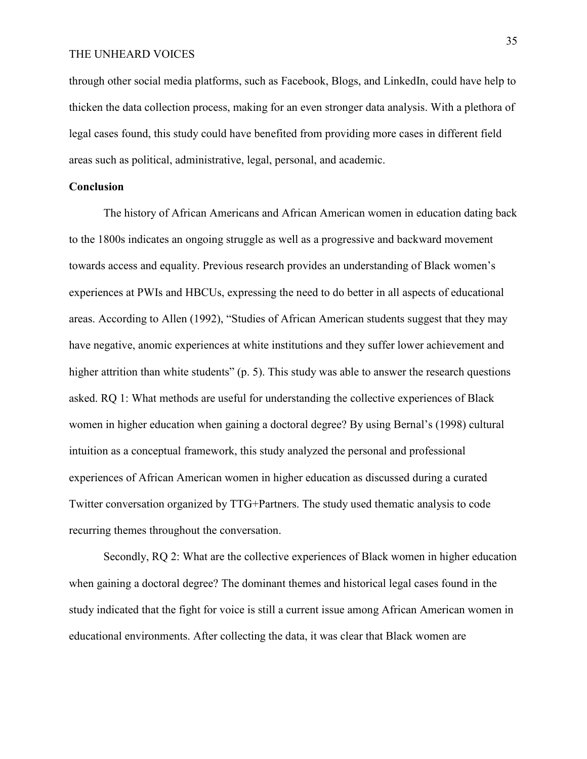through other social media platforms, such as Facebook, Blogs, and LinkedIn, could have help to thicken the data collection process, making for an even stronger data analysis. With a plethora of legal cases found, this study could have benefited from providing more cases in different field areas such as political, administrative, legal, personal, and academic.

# **Conclusion**

The history of African Americans and African American women in education dating back to the 1800s indicates an ongoing struggle as well as a progressive and backward movement towards access and equality. Previous research provides an understanding of Black women's experiences at PWIs and HBCUs, expressing the need to do better in all aspects of educational areas. According to Allen (1992), "Studies of African American students suggest that they may have negative, anomic experiences at white institutions and they suffer lower achievement and higher attrition than white students" (p. 5). This study was able to answer the research questions asked. RQ 1: What methods are useful for understanding the collective experiences of Black women in higher education when gaining a doctoral degree? By using Bernal's (1998) cultural intuition as a conceptual framework, this study analyzed the personal and professional experiences of African American women in higher education as discussed during a curated Twitter conversation organized by TTG+Partners. The study used thematic analysis to code recurring themes throughout the conversation.

Secondly, RQ 2: What are the collective experiences of Black women in higher education when gaining a doctoral degree? The dominant themes and historical legal cases found in the study indicated that the fight for voice is still a current issue among African American women in educational environments. After collecting the data, it was clear that Black women are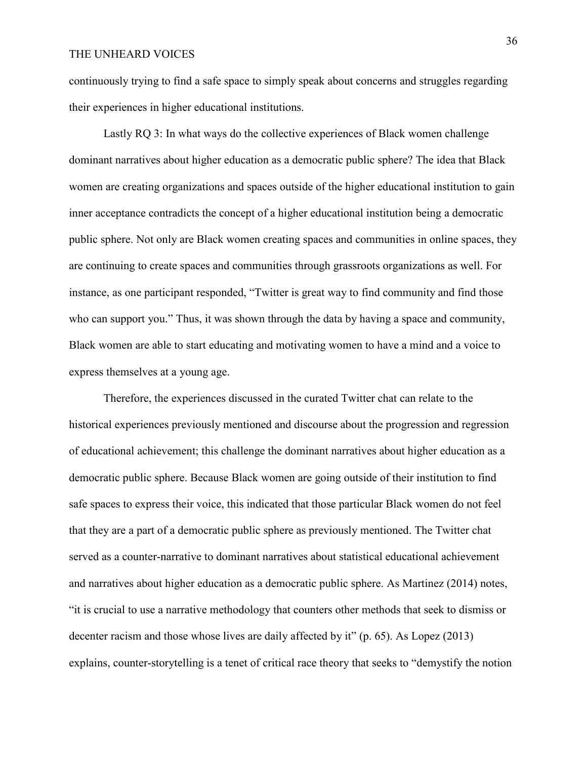continuously trying to find a safe space to simply speak about concerns and struggles regarding their experiences in higher educational institutions.

Lastly RQ 3: In what ways do the collective experiences of Black women challenge dominant narratives about higher education as a democratic public sphere? The idea that Black women are creating organizations and spaces outside of the higher educational institution to gain inner acceptance contradicts the concept of a higher educational institution being a democratic public sphere. Not only are Black women creating spaces and communities in online spaces, they are continuing to create spaces and communities through grassroots organizations as well. For instance, as one participant responded, "Twitter is great way to find community and find those who can support you." Thus, it was shown through the data by having a space and community, Black women are able to start educating and motivating women to have a mind and a voice to express themselves at a young age.

Therefore, the experiences discussed in the curated Twitter chat can relate to the historical experiences previously mentioned and discourse about the progression and regression of educational achievement; this challenge the dominant narratives about higher education as a democratic public sphere. Because Black women are going outside of their institution to find safe spaces to express their voice, this indicated that those particular Black women do not feel that they are a part of a democratic public sphere as previously mentioned. The Twitter chat served as a counter-narrative to dominant narratives about statistical educational achievement and narratives about higher education as a democratic public sphere. As Martinez (2014) notes, "it is crucial to use a narrative methodology that counters other methods that seek to dismiss or decenter racism and those whose lives are daily affected by it" (p. 65). As Lopez (2013) explains, counter-storytelling is a tenet of critical race theory that seeks to "demystify the notion

36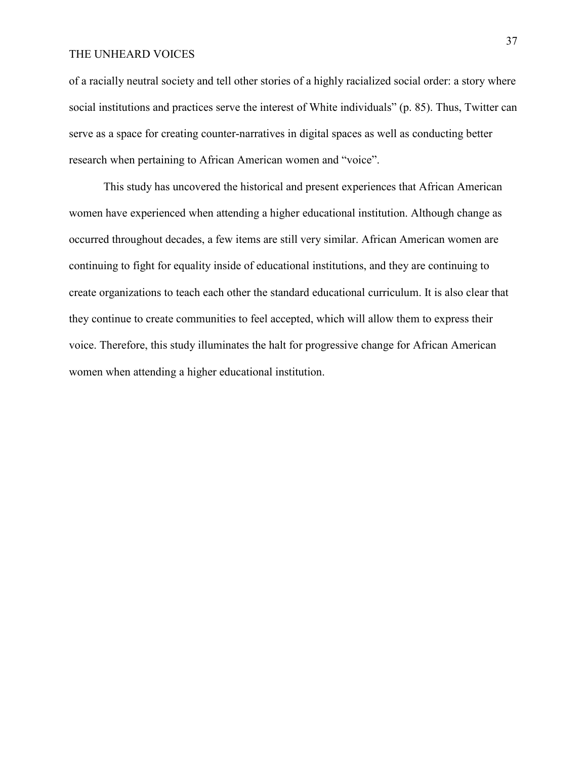of a racially neutral society and tell other stories of a highly racialized social order: a story where social institutions and practices serve the interest of White individuals" (p. 85). Thus, Twitter can serve as a space for creating counter-narratives in digital spaces as well as conducting better research when pertaining to African American women and "voice".

This study has uncovered the historical and present experiences that African American women have experienced when attending a higher educational institution. Although change as occurred throughout decades, a few items are still very similar. African American women are continuing to fight for equality inside of educational institutions, and they are continuing to create organizations to teach each other the standard educational curriculum. It is also clear that they continue to create communities to feel accepted, which will allow them to express their voice. Therefore, this study illuminates the halt for progressive change for African American women when attending a higher educational institution.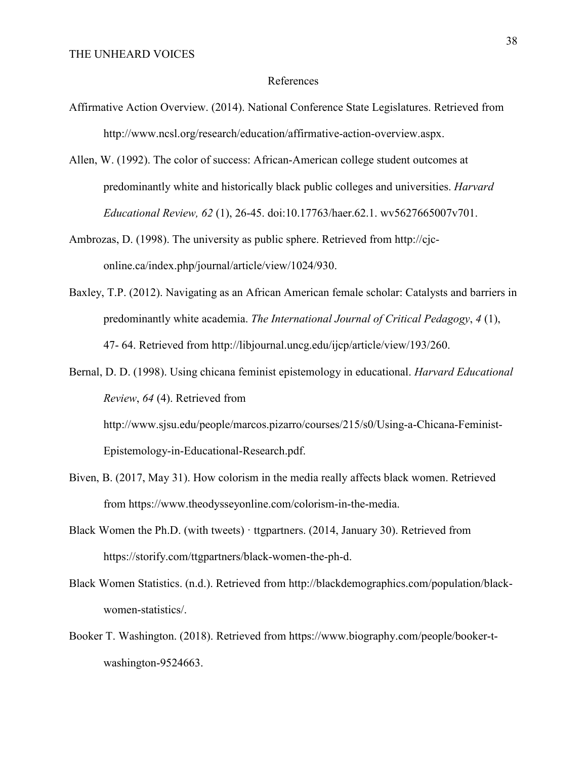### References

- Affirmative Action Overview. (2014). National Conference State Legislatures. Retrieved from http://www.ncsl.org/research/education/affirmative-action-overview.aspx.
- Allen, W. (1992). The color of success: African-American college student outcomes at predominantly white and historically black public colleges and universities. *Harvard Educational Review, 62* (1), 26-45. doi:10.17763/haer.62.1. wv5627665007v701.
- Ambrozas, D. (1998). The university as public sphere. Retrieved from http://cjconline.ca/index.php/journal/article/view/1024/930.
- Baxley, T.P. (2012). Navigating as an African American female scholar: Catalysts and barriers in predominantly white academia. *The International Journal of Critical Pedagogy*, *4* (1), 47- 64. Retrieved from http://libjournal.uncg.edu/ijcp/article/view/193/260.
- Bernal, D. D. (1998). Using chicana feminist epistemology in educational. *Harvard Educational Review*, *64* (4). Retrieved from http://www.sjsu.edu/people/marcos.pizarro/courses/215/s0/Using-a-Chicana-Feminist-Epistemology-in-Educational-Research.pdf.
- Biven, B. (2017, May 31). How colorism in the media really affects black women. Retrieved from https://www.theodysseyonline.com/colorism-in-the-media.
- Black Women the Ph.D. (with tweets) · ttgpartners. (2014, January 30). Retrieved from https://storify.com/ttgpartners/black-women-the-ph-d.
- Black Women Statistics. (n.d.). Retrieved from http://blackdemographics.com/population/blackwomen-statistics/.
- Booker T. Washington. (2018). Retrieved from https://www.biography.com/people/booker-twashington-9524663.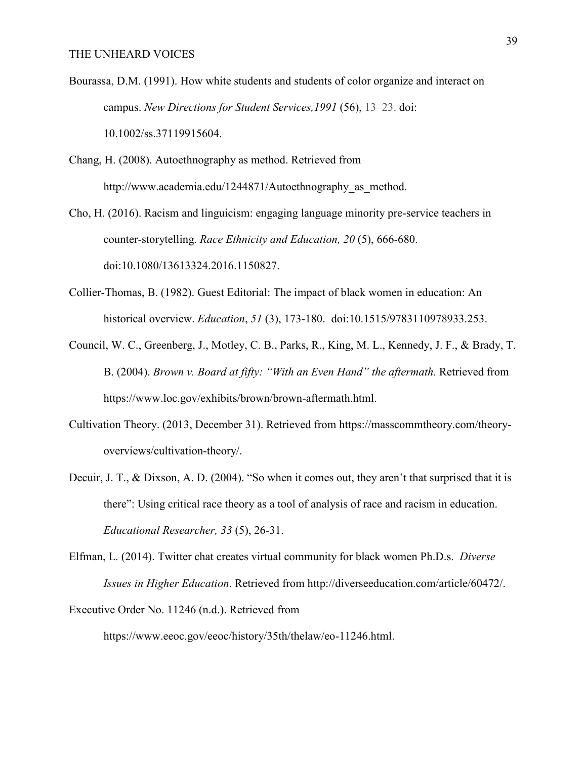- Bourassa, D.M. (1991). How white students and students of color organize and interact on campus. *New Directions for Student Services,1991* (56), 13–23. doi: 10.1002/ss.37119915604.
- Chang, H. (2008). Autoethnography as method. Retrieved from http://www.academia.edu/1244871/Autoethnography\_as\_method.

Cho, H. (2016). Racism and linguicism: engaging language minority pre-service teachers in counter-storytelling. *Race Ethnicity and Education, 20* (5), 666-680. doi:10.1080/13613324.2016.1150827.

- Collier-Thomas, B. (1982). Guest Editorial: The impact of black women in education: An historical overview. *Education*, *51* (3), 173-180. doi:10.1515/9783110978933.253.
- Council, W. C., Greenberg, J., Motley, C. B., Parks, R., King, M. L., Kennedy, J. F., & Brady, T. B. (2004). *Brown v. Board at fifty: "With an Even Hand" the aftermath.* Retrieved from https://www.loc.gov/exhibits/brown/brown-aftermath.html.
- Cultivation Theory. (2013, December 31). Retrieved from https://masscommtheory.com/theoryoverviews/cultivation-theory/.
- Decuir, J. T., & Dixson, A. D. (2004). "So when it comes out, they aren't that surprised that it is there": Using critical race theory as a tool of analysis of race and racism in education. *Educational Researcher, 33* (5), 26-31.
- Elfman, L. (2014). Twitter chat creates virtual community for black women Ph.D.s. *Diverse Issues in Higher Education*. Retrieved from http://diverseeducation.com/article/60472/.

Executive Order No. 11246 (n.d.). Retrieved from

https://www.eeoc.gov/eeoc/history/35th/thelaw/eo-11246.html.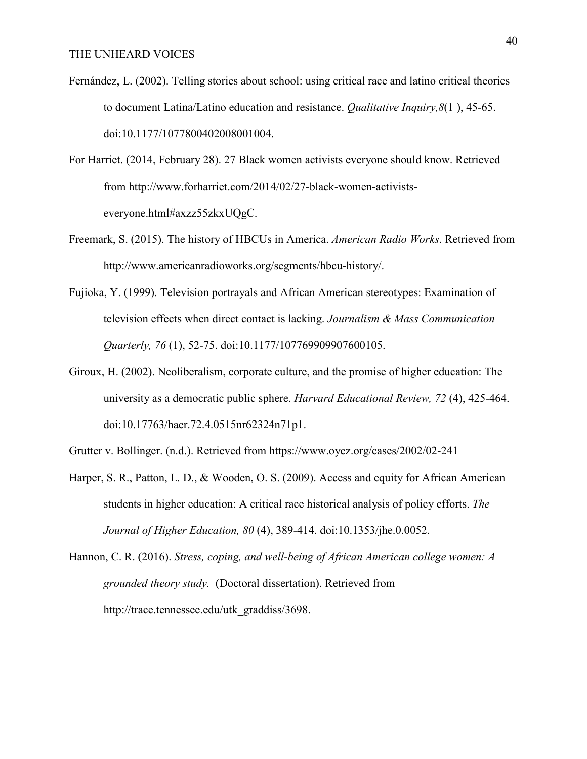- Fernández, L. (2002). Telling stories about school: using critical race and latino critical theories to document Latina/Latino education and resistance. *Qualitative Inquiry,8*(1 ), 45-65. doi:10.1177/1077800402008001004.
- For Harriet. (2014, February 28). 27 Black women activists everyone should know. Retrieved from http://www.forharriet.com/2014/02/27-black-women-activistseveryone.html#axzz55zkxUQgC.
- Freemark, S. (2015). The history of HBCUs in America. *American Radio Works*. Retrieved from http://www.americanradioworks.org/segments/hbcu-history/.
- Fujioka, Y. (1999). Television portrayals and African American stereotypes: Examination of television effects when direct contact is lacking. *Journalism & Mass Communication Quarterly, 76* (1), 52-75. doi:10.1177/107769909907600105.
- Giroux, H. (2002). Neoliberalism, corporate culture, and the promise of higher education: The university as a democratic public sphere. *Harvard Educational Review, 72* (4), 425-464. doi:10.17763/haer.72.4.0515nr62324n71p1.
- Grutter v. Bollinger. (n.d.). Retrieved from https://www.oyez.org/cases/2002/02-241
- Harper, S. R., Patton, L. D., & Wooden, O. S. (2009). Access and equity for African American students in higher education: A critical race historical analysis of policy efforts. *The Journal of Higher Education, 80* (4), 389-414. doi:10.1353/jhe.0.0052.
- Hannon, C. R. (2016). *Stress, coping, and well-being of African American college women: A grounded theory study.* (Doctoral dissertation). Retrieved from http://trace.tennessee.edu/utk\_graddiss/3698.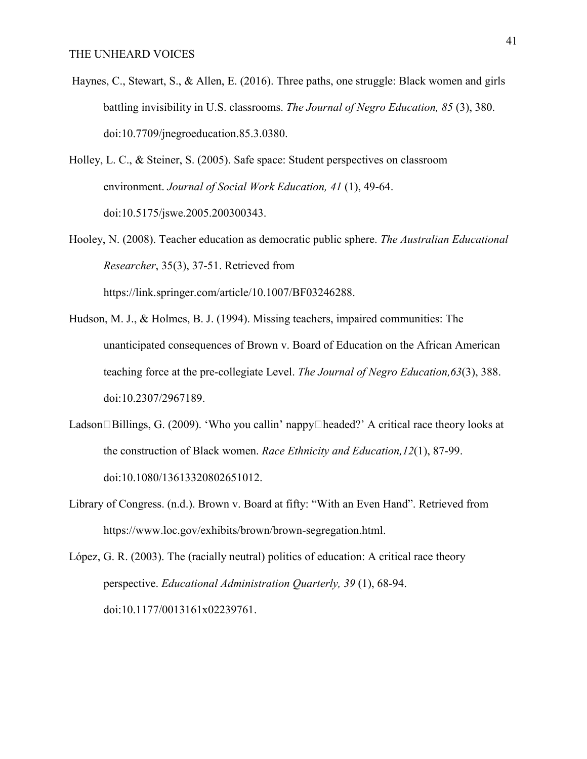Haynes, C., Stewart, S., & Allen, E. (2016). Three paths, one struggle: Black women and girls battling invisibility in U.S. classrooms. *The Journal of Negro Education, 85* (3), 380. doi:10.7709/jnegroeducation.85.3.0380.

Holley, L. C., & Steiner, S. (2005). Safe space: Student perspectives on classroom environment. *Journal of Social Work Education, 41* (1), 49-64. doi:10.5175/jswe.2005.200300343.

https://link.springer.com/article/10.1007/BF03246288.

- Hooley, N. (2008). Teacher education as democratic public sphere. *The Australian Educational Researcher*, 35(3), 37-51. Retrieved from
- Hudson, M. J., & Holmes, B. J. (1994). Missing teachers, impaired communities: The unanticipated consequences of Brown v. Board of Education on the African American teaching force at the pre-collegiate Level. *The Journal of Negro Education,63*(3), 388. doi:10.2307/2967189.
- Ladson $\Box$ Billings, G. (2009). 'Who you callin' nappy $\Box$ headed?' A critical race theory looks at the construction of Black women. *Race Ethnicity and Education,12*(1), 87-99. doi:10.1080/13613320802651012.
- Library of Congress. (n.d.). Brown v. Board at fifty: "With an Even Hand". Retrieved from https://www.loc.gov/exhibits/brown/brown-segregation.html.

López, G. R. (2003). The (racially neutral) politics of education: A critical race theory perspective. *Educational Administration Quarterly, 39* (1), 68-94. doi:10.1177/0013161x02239761.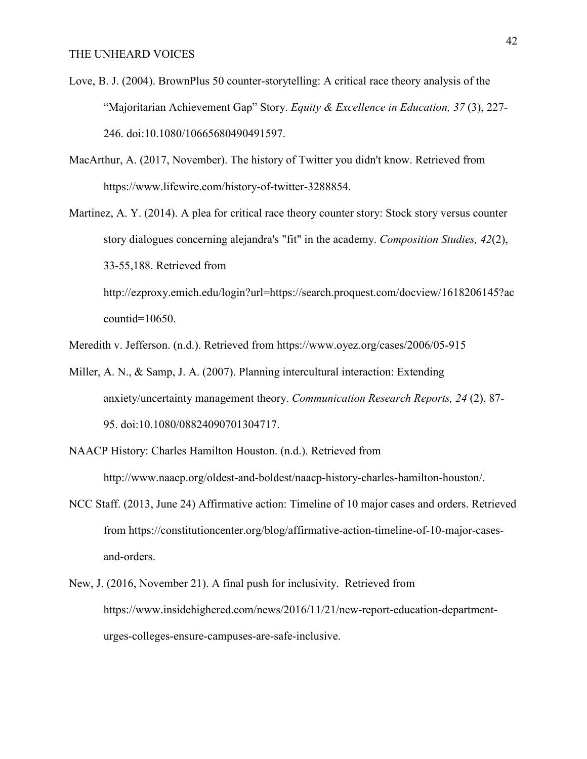- Love, B. J. (2004). BrownPlus 50 counter-storytelling: A critical race theory analysis of the "Majoritarian Achievement Gap" Story. *Equity & Excellence in Education, 37* (3), 227- 246. doi:10.1080/10665680490491597.
- MacArthur, A. (2017, November). The history of Twitter you didn't know. Retrieved from https://www.lifewire.com/history-of-twitter-3288854.
- Martinez, A. Y. (2014). A plea for critical race theory counter story: Stock story versus counter story dialogues concerning alejandra's "fit" in the academy. *Composition Studies, 42*(2), 33-55,188. Retrieved from http://ezproxy.emich.edu/login?url=https://search.proquest.com/docview/1618206145?ac

countid=10650.

Meredith v. Jefferson. (n.d.). Retrieved from https://www.oyez.org/cases/2006/05-915

- Miller, A. N., & Samp, J. A. (2007). Planning intercultural interaction: Extending anxiety/uncertainty management theory. *Communication Research Reports, 24* (2), 87- 95. doi:10.1080/08824090701304717.
- NAACP History: Charles Hamilton Houston. (n.d.). Retrieved from http://www.naacp.org/oldest-and-boldest/naacp-history-charles-hamilton-houston/.
- NCC Staff. (2013, June 24) Affirmative action: Timeline of 10 major cases and orders. Retrieved from https://constitutioncenter.org/blog/affirmative-action-timeline-of-10-major-casesand-orders.
- New, J. (2016, November 21). A final push for inclusivity. Retrieved from https://www.insidehighered.com/news/2016/11/21/new-report-education-departmenturges-colleges-ensure-campuses-are-safe-inclusive.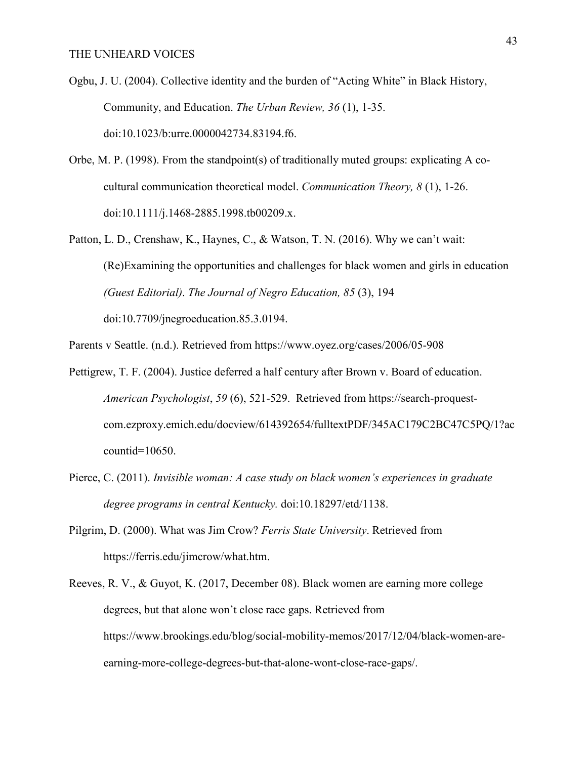- Ogbu, J. U. (2004). Collective identity and the burden of "Acting White" in Black History, Community, and Education. *The Urban Review, 36* (1), 1-35. doi:10.1023/b:urre.0000042734.83194.f6.
- Orbe, M. P. (1998). From the standpoint(s) of traditionally muted groups: explicating A cocultural communication theoretical model. *Communication Theory, 8* (1), 1-26. doi:10.1111/j.1468-2885.1998.tb00209.x.
- Patton, L. D., Crenshaw, K., Haynes, C., & Watson, T. N. (2016). Why we can't wait: (Re)Examining the opportunities and challenges for black women and girls in education *(Guest Editorial)*. *The Journal of Negro Education, 85* (3), 194 doi:10.7709/jnegroeducation.85.3.0194.
- Parents v Seattle. (n.d.). Retrieved from https://www.oyez.org/cases/2006/05-908
- Pettigrew, T. F. (2004). Justice deferred a half century after Brown v. Board of education. *American Psychologist*, *59* (6), 521-529. Retrieved from https://search-proquestcom.ezproxy.emich.edu/docview/614392654/fulltextPDF/345AC179C2BC47C5PQ/1?ac countid=10650.
- Pierce, C. (2011). *Invisible woman: A case study on black women's experiences in graduate degree programs in central Kentucky.* doi:10.18297/etd/1138.
- Pilgrim, D. (2000). What was Jim Crow? *Ferris State University*. Retrieved from https://ferris.edu/jimcrow/what.htm.
- Reeves, R. V., & Guyot, K. (2017, December 08). Black women are earning more college degrees, but that alone won't close race gaps. Retrieved from https://www.brookings.edu/blog/social-mobility-memos/2017/12/04/black-women-areearning-more-college-degrees-but-that-alone-wont-close-race-gaps/.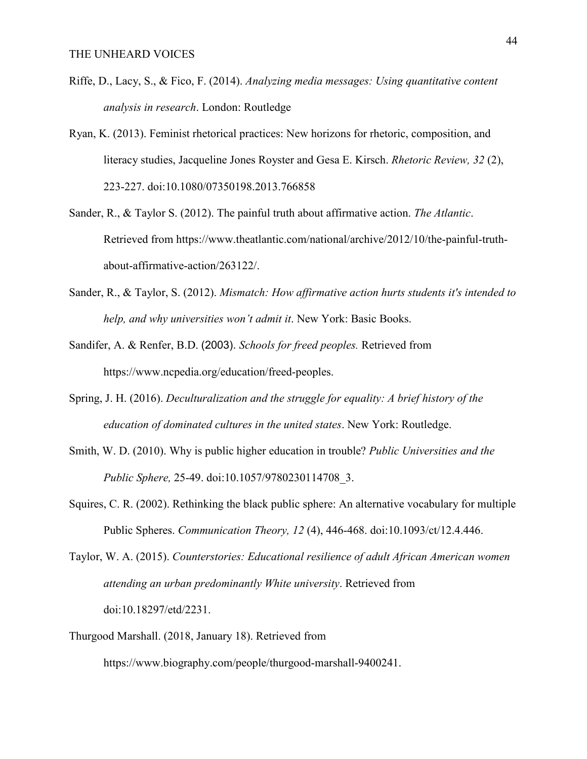- Riffe, D., Lacy, S., & Fico, F. (2014). *Analyzing media messages: Using quantitative content analysis in research*. London: Routledge
- Ryan, K. (2013). Feminist rhetorical practices: New horizons for rhetoric, composition, and literacy studies, Jacqueline Jones Royster and Gesa E. Kirsch. *Rhetoric Review, 32* (2), 223-227. doi:10.1080/07350198.2013.766858
- Sander, R., & Taylor S. (2012). The painful truth about affirmative action. *The Atlantic*. Retrieved from https://www.theatlantic.com/national/archive/2012/10/the-painful-truthabout-affirmative-action/263122/.
- Sander, R., & Taylor, S. (2012). *Mismatch: How affirmative action hurts students it's intended to help, and why universities won't admit it*. New York: Basic Books.
- Sandifer, A. & Renfer, B.D. (2003). *Schools for freed peoples.* Retrieved from https://www.ncpedia.org/education/freed-peoples.
- Spring, J. H. (2016). *Deculturalization and the struggle for equality: A brief history of the education of dominated cultures in the united states*. New York: Routledge.
- Smith, W. D. (2010). Why is public higher education in trouble? *Public Universities and the Public Sphere,* 25-49. doi:10.1057/9780230114708\_3.
- Squires, C. R. (2002). Rethinking the black public sphere: An alternative vocabulary for multiple Public Spheres. *Communication Theory, 12* (4), 446-468. doi:10.1093/ct/12.4.446.

Taylor, W. A. (2015). *Counterstories: Educational resilience of adult African American women attending an urban predominantly White university*. Retrieved from doi:10.18297/etd/2231.

Thurgood Marshall. (2018, January 18). Retrieved from

https://www.biography.com/people/thurgood-marshall-9400241.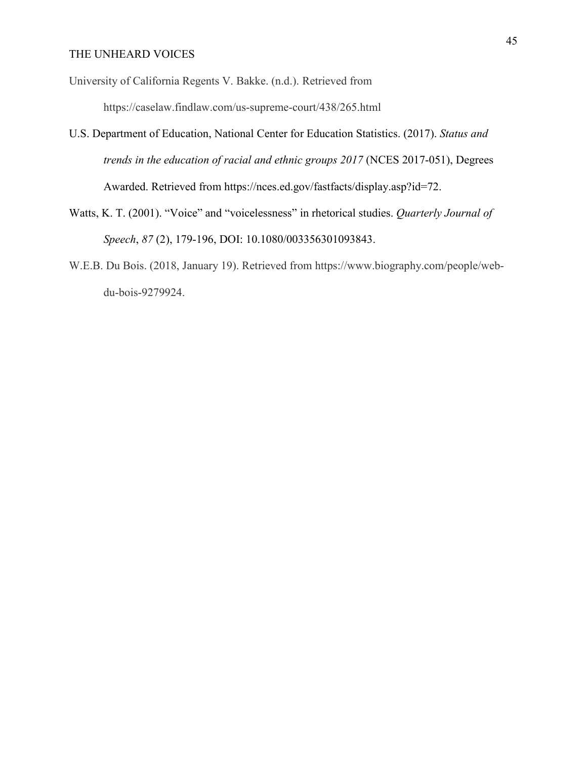University of California Regents V. Bakke. (n.d.). Retrieved from

https://caselaw.findlaw.com/us-supreme-court/438/265.html

- U.S. Department of Education, National Center for Education Statistics. (2017). *Status and trends in the education of racial and ethnic groups 2017* (NCES 2017-051), Degrees Awarded. Retrieved from https://nces.ed.gov/fastfacts/display.asp?id=72.
- Watts, K. T. (2001). "Voice" and "voicelessness" in rhetorical studies. *Quarterly Journal of Speech*, *87* (2), 179-196, DOI: 10.1080/003356301093843.
- W.E.B. Du Bois. (2018, January 19). Retrieved from https://www.biography.com/people/webdu-bois-9279924.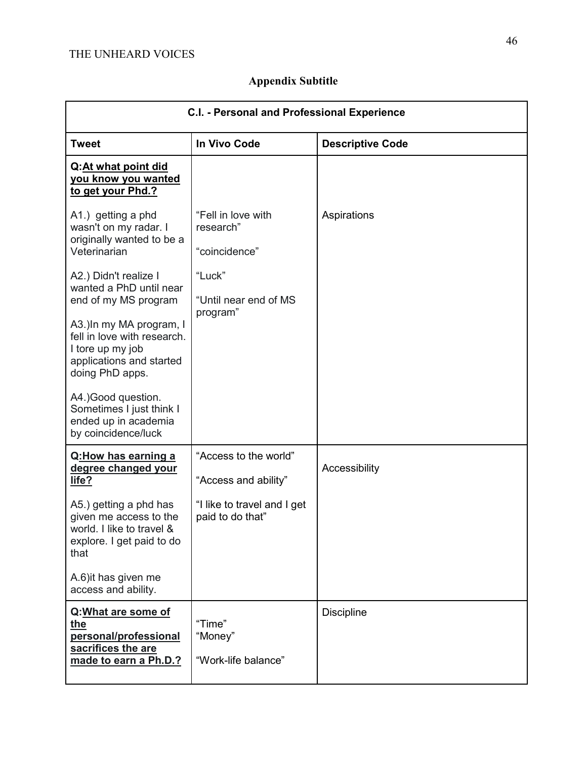| Appendix Subtitle |  |  |  |
|-------------------|--|--|--|
|-------------------|--|--|--|

| C.I. - Personal and Professional Experience                                                                                |                                                  |                         |  |
|----------------------------------------------------------------------------------------------------------------------------|--------------------------------------------------|-------------------------|--|
| <b>Tweet</b>                                                                                                               | In Vivo Code                                     | <b>Descriptive Code</b> |  |
| Q:At what point did<br><u>you know you wanted</u><br>to get your Phd.?                                                     |                                                  |                         |  |
| A1.) getting a phd<br>wasn't on my radar. I<br>originally wanted to be a<br>Veterinarian                                   | "Fell in love with<br>research"<br>"coincidence" | Aspirations             |  |
| A2.) Didn't realize I<br>wanted a PhD until near<br>end of my MS program                                                   | "Luck"<br>"Until near end of MS<br>program"      |                         |  |
| A3.) In my MA program, I<br>fell in love with research.<br>I tore up my job<br>applications and started<br>doing PhD apps. |                                                  |                         |  |
| A4.) Good question.<br>Sometimes I just think I<br>ended up in academia<br>by coincidence/luck                             |                                                  |                         |  |
| Q:How has earning a<br>degree changed your<br>life?                                                                        | "Access to the world"<br>"Access and ability"    | Accessibility           |  |
| A5.) getting a phd has<br>given me access to the<br>world. I like to travel &<br>explore. I get paid to do<br>that         | "I like to travel and I get<br>paid to do that"  |                         |  |
| A.6) it has given me<br>access and ability.                                                                                |                                                  |                         |  |
| Q: What are some of<br>the<br>personal/professional<br>sacrifices the are<br>made to earn a Ph.D.?                         | "Time"<br>"Money"<br>"Work-life balance"         | <b>Discipline</b>       |  |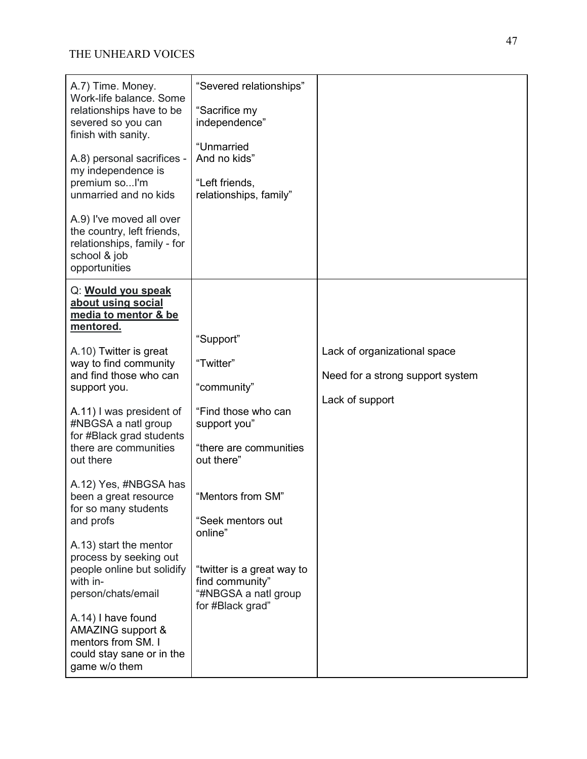| A.7) Time. Money.<br>Work-life balance. Some<br>relationships have to be<br>severed so you can<br>finish with sanity.<br>A.8) personal sacrifices -<br>my independence is<br>premium soI'm<br>unmarried and no kids<br>A.9) I've moved all over<br>the country, left friends,<br>relationships, family - for<br>school & job<br>opportunities                                                                                                                                                                                                                                                                             | "Severed relationships"<br>"Sacrifice my<br>independence"<br>"Unmarried<br>And no kids"<br>"Left friends,<br>relationships, family"                                                                                                                                    |                                                                                     |
|---------------------------------------------------------------------------------------------------------------------------------------------------------------------------------------------------------------------------------------------------------------------------------------------------------------------------------------------------------------------------------------------------------------------------------------------------------------------------------------------------------------------------------------------------------------------------------------------------------------------------|------------------------------------------------------------------------------------------------------------------------------------------------------------------------------------------------------------------------------------------------------------------------|-------------------------------------------------------------------------------------|
| Q: Would you speak<br>about using social<br>media to mentor & be<br>mentored.<br>A.10) Twitter is great<br>way to find community<br>and find those who can<br>support you.<br>A.11) I was president of<br>#NBGSA a natl group<br>for #Black grad students<br>there are communities<br>out there<br>A.12) Yes, #NBGSA has<br>been a great resource<br>for so many students<br>and profs<br>A.13) start the mentor<br>process by seeking out<br>people online but solidify<br>with in-<br>person/chats/email<br>A.14) I have found<br>AMAZING support &<br>mentors from SM. I<br>could stay sane or in the<br>game w/o them | "Support"<br>"Twitter"<br>"community"<br>"Find those who can<br>support you"<br>"there are communities<br>out there"<br>"Mentors from SM"<br>"Seek mentors out<br>online"<br>"twitter is a great way to<br>find community"<br>"#NBGSA a natl group<br>for #Black grad" | Lack of organizational space<br>Need for a strong support system<br>Lack of support |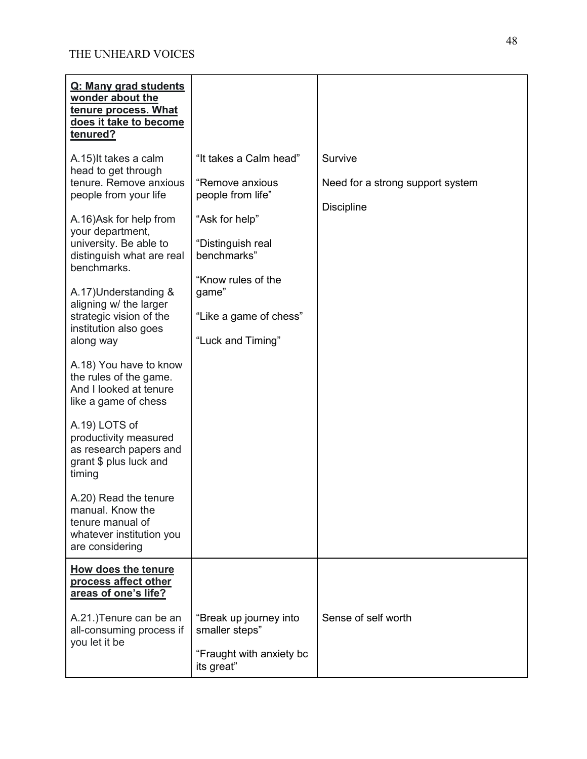| Q: Many grad students<br>wonder about the<br>tenure process. What<br>does it take to become<br>tenured?          |                                                                                    |                                                                  |
|------------------------------------------------------------------------------------------------------------------|------------------------------------------------------------------------------------|------------------------------------------------------------------|
| A.15) It takes a calm<br>head to get through<br>tenure. Remove anxious<br>people from your life                  | "It takes a Calm head"<br>"Remove anxious<br>people from life"                     | Survive<br>Need for a strong support system<br><b>Discipline</b> |
| A.16)Ask for help from<br>your department,<br>university. Be able to<br>distinguish what are real<br>benchmarks. | "Ask for help"<br>"Distinguish real<br>benchmarks"<br>"Know rules of the           |                                                                  |
| A.17) Understanding &<br>aligning w/ the larger<br>strategic vision of the<br>institution also goes<br>along way | game"<br>"Like a game of chess"<br>"Luck and Timing"                               |                                                                  |
| A.18) You have to know<br>the rules of the game.<br>And I looked at tenure<br>like a game of chess               |                                                                                    |                                                                  |
| A.19) LOTS of<br>productivity measured<br>as research papers and<br>grant \$ plus luck and<br>timing             |                                                                                    |                                                                  |
| A.20) Read the tenure<br>manual. Know the<br>tenure manual of<br>whatever institution you<br>are considering     |                                                                                    |                                                                  |
| <b>How does the tenure</b><br>process affect other<br>areas of one's life?                                       |                                                                                    |                                                                  |
| A.21.) Tenure can be an<br>all-consuming process if<br>you let it be                                             | "Break up journey into<br>smaller steps"<br>"Fraught with anxiety bc<br>its great" | Sense of self worth                                              |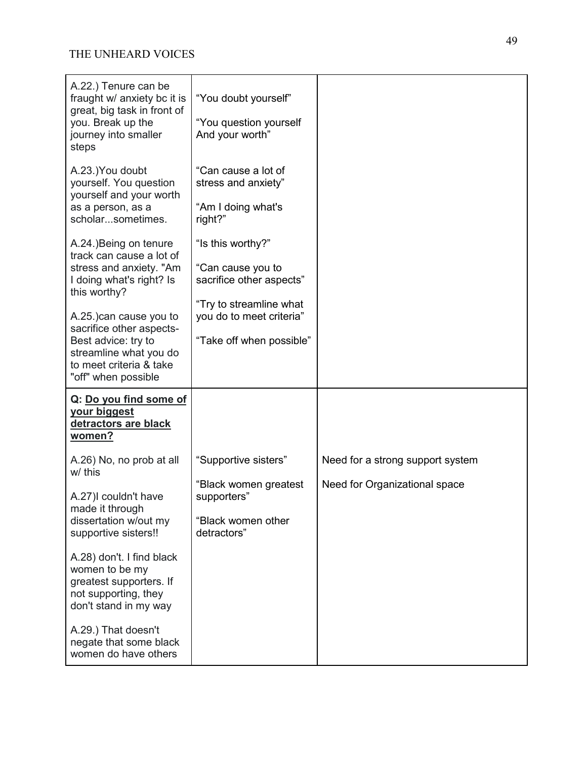| A.22.) Tenure can be<br>fraught w/ anxiety bc it is<br>great, big task in front of<br>you. Break up the<br>journey into smaller<br>steps                                                                                          | "You doubt yourself"<br>"You question yourself<br>And your worth"                                                                                     |                                  |
|-----------------------------------------------------------------------------------------------------------------------------------------------------------------------------------------------------------------------------------|-------------------------------------------------------------------------------------------------------------------------------------------------------|----------------------------------|
| A.23.)You doubt<br>yourself. You question<br>yourself and your worth<br>as a person, as a<br>scholarsometimes.                                                                                                                    | "Can cause a lot of<br>stress and anxiety"<br>"Am I doing what's<br>right?"                                                                           |                                  |
| A.24.) Being on tenure<br>track can cause a lot of<br>stress and anxiety. "Am<br>I doing what's right? Is<br>this worthy?<br>A.25.) can cause you to<br>sacrifice other aspects-<br>Best advice: try to<br>streamline what you do | "Is this worthy?"<br>"Can cause you to<br>sacrifice other aspects"<br>"Try to streamline what<br>you do to meet criteria"<br>"Take off when possible" |                                  |
| to meet criteria & take<br>"off" when possible                                                                                                                                                                                    |                                                                                                                                                       |                                  |
| Q: Do you find some of<br>your biggest<br>detractors are black<br>women?                                                                                                                                                          |                                                                                                                                                       |                                  |
| A.26) No, no prob at all<br>w/ this                                                                                                                                                                                               | "Supportive sisters"                                                                                                                                  | Need for a strong support system |
| A.27)I couldn't have<br>made it through                                                                                                                                                                                           | "Black women greatest<br>supporters"                                                                                                                  | Need for Organizational space    |
| dissertation w/out my<br>supportive sisters!!                                                                                                                                                                                     | "Black women other<br>detractors"                                                                                                                     |                                  |
| A.28) don't. I find black<br>women to be my<br>greatest supporters. If<br>not supporting, they<br>don't stand in my way                                                                                                           |                                                                                                                                                       |                                  |
| A.29.) That doesn't<br>negate that some black<br>women do have others                                                                                                                                                             |                                                                                                                                                       |                                  |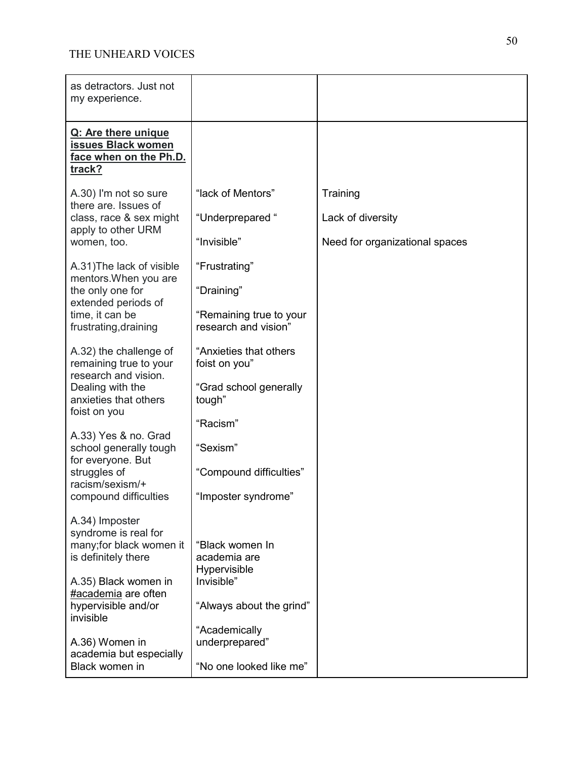| as detractors. Just not<br>my experience.                                                      |                                                 |                                |
|------------------------------------------------------------------------------------------------|-------------------------------------------------|--------------------------------|
| Q: Are there unique<br>issues Black women<br>face when on the Ph.D.<br>track?                  |                                                 |                                |
| A.30) I'm not so sure<br>there are. Issues of<br>class, race & sex might<br>apply to other URM | "lack of Mentors"                               | Training                       |
|                                                                                                | "Underprepared"                                 | Lack of diversity              |
| women, too.                                                                                    | "Invisible"                                     | Need for organizational spaces |
| A.31) The lack of visible<br>mentors. When you are                                             | "Frustrating"                                   |                                |
| the only one for<br>extended periods of                                                        | "Draining"                                      |                                |
| time, it can be<br>frustrating, draining                                                       | "Remaining true to your<br>research and vision" |                                |
| A.32) the challenge of<br>remaining true to your                                               | "Anxieties that others<br>foist on you"         |                                |
| research and vision.<br>Dealing with the<br>anxieties that others<br>foist on you              | "Grad school generally<br>tough"                |                                |
|                                                                                                | "Racism"                                        |                                |
| A.33) Yes & no. Grad<br>school generally tough<br>for everyone. But                            | "Sexism"                                        |                                |
| struggles of<br>racism/sexism/+                                                                | "Compound difficulties"                         |                                |
| compound difficulties                                                                          | "Imposter syndrome"                             |                                |
| A.34) Imposter<br>syndrome is real for                                                         |                                                 |                                |
| many; for black women it<br>is definitely there                                                | "Black women In<br>academia are                 |                                |
| A.35) Black women in<br>#academia are often                                                    | Hypervisible<br>Invisible"                      |                                |
| hypervisible and/or<br>invisible                                                               | "Always about the grind"                        |                                |
| A.36) Women in<br>academia but especially                                                      | "Academically<br>underprepared"                 |                                |
| Black women in                                                                                 | "No one looked like me"                         |                                |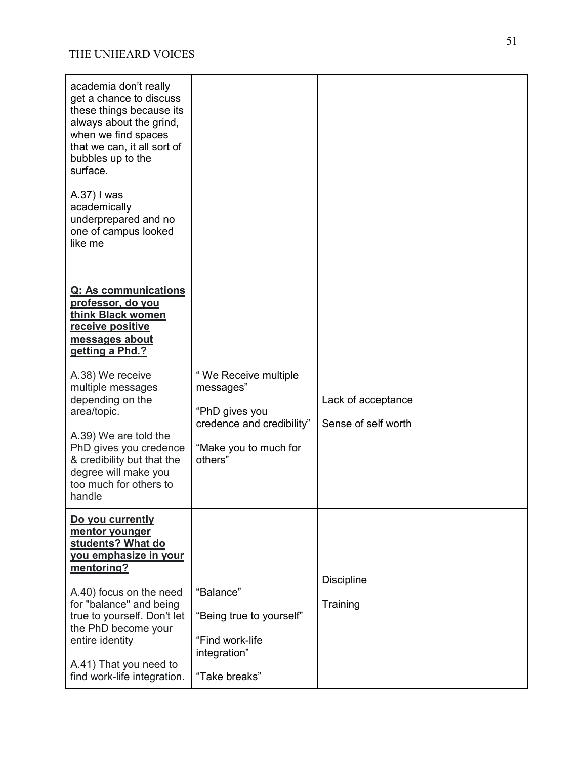| academia don't really<br>get a chance to discuss<br>these things because its<br>always about the grind,<br>when we find spaces<br>that we can, it all sort of<br>bubbles up to the<br>surface.<br>A.37) I was<br>academically<br>underprepared and no<br>one of campus looked<br>like me                                                         |                                                                                                                      |                                           |
|--------------------------------------------------------------------------------------------------------------------------------------------------------------------------------------------------------------------------------------------------------------------------------------------------------------------------------------------------|----------------------------------------------------------------------------------------------------------------------|-------------------------------------------|
| Q: As communications<br>professor, do you<br>think Black women<br>receive positive<br>messages about<br>getting a Phd.?<br>A.38) We receive<br>multiple messages<br>depending on the<br>area/topic.<br>A.39) We are told the<br>PhD gives you credence<br>& credibility but that the<br>degree will make you<br>too much for others to<br>handle | "We Receive multiple<br>messages"<br>"PhD gives you<br>credence and credibility"<br>"Make you to much for<br>others" | Lack of acceptance<br>Sense of self worth |
| Do you currently<br>mentor younger<br>students? What do<br>you emphasize in your<br>mentoring?<br>A.40) focus on the need<br>for "balance" and being<br>true to yourself. Don't let<br>the PhD become your<br>entire identity<br>A.41) That you need to<br>find work-life integration.                                                           | "Balance"<br>"Being true to yourself"<br>"Find work-life<br>integration"<br>"Take breaks"                            | <b>Discipline</b><br>Training             |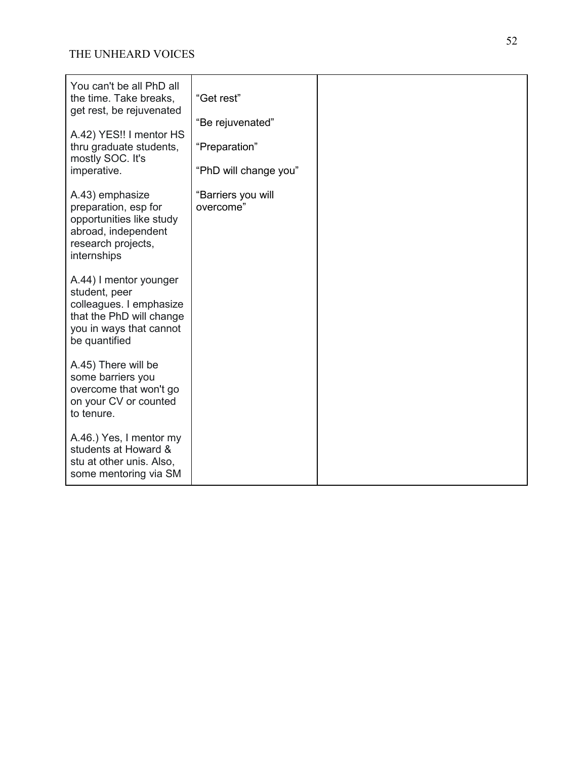| You can't be all PhD all<br>the time. Take breaks,<br>get rest, be rejuvenated<br>A.42) YES!! I mentor HS<br>thru graduate students,<br>mostly SOC. It's<br>imperative. | "Get rest"<br>"Be rejuvenated"<br>"Preparation"<br>"PhD will change you" |  |
|-------------------------------------------------------------------------------------------------------------------------------------------------------------------------|--------------------------------------------------------------------------|--|
| A.43) emphasize<br>preparation, esp for<br>opportunities like study<br>abroad, independent<br>research projects,<br>internships                                         | "Barriers you will<br>overcome"                                          |  |
| A.44) I mentor younger<br>student, peer<br>colleagues. I emphasize<br>that the PhD will change<br>you in ways that cannot<br>be quantified                              |                                                                          |  |
| A.45) There will be<br>some barriers you<br>overcome that won't go<br>on your CV or counted<br>to tenure.                                                               |                                                                          |  |
| A.46.) Yes, I mentor my<br>students at Howard &<br>stu at other unis. Also,<br>some mentoring via SM                                                                    |                                                                          |  |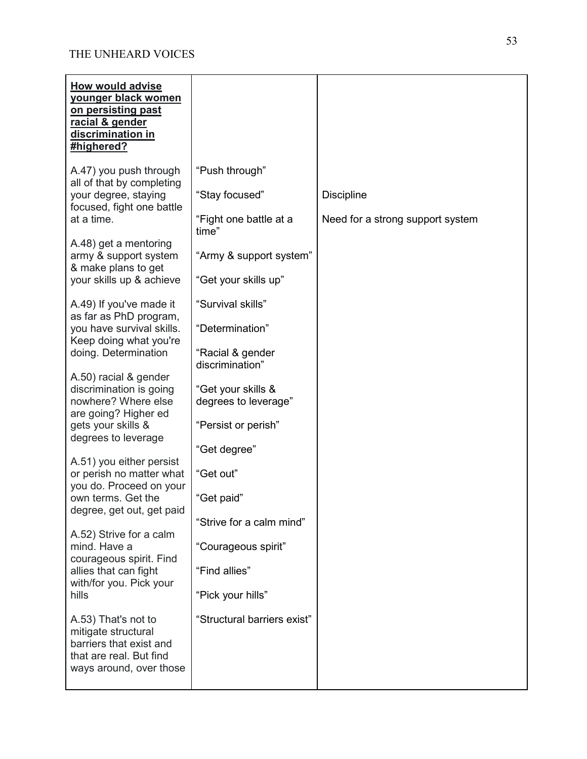| How would advise<br>younger black women<br>on persisting past<br>racial & gender<br>discrimination in<br>#highered?                                                                                                                                                                                                                                                                                                                                                                                                                                       |                                                                                                                                                                                                                                                                                      |                                                       |
|-----------------------------------------------------------------------------------------------------------------------------------------------------------------------------------------------------------------------------------------------------------------------------------------------------------------------------------------------------------------------------------------------------------------------------------------------------------------------------------------------------------------------------------------------------------|--------------------------------------------------------------------------------------------------------------------------------------------------------------------------------------------------------------------------------------------------------------------------------------|-------------------------------------------------------|
| A.47) you push through<br>all of that by completing<br>your degree, staying<br>focused, fight one battle<br>at a time.<br>A.48) get a mentoring<br>army & support system<br>& make plans to get<br>your skills up & achieve                                                                                                                                                                                                                                                                                                                               | "Push through"<br>"Stay focused"<br>"Fight one battle at a<br>time"<br>"Army & support system"<br>"Get your skills up"                                                                                                                                                               | <b>Discipline</b><br>Need for a strong support system |
| A.49) If you've made it<br>as far as PhD program,<br>you have survival skills.<br>Keep doing what you're<br>doing. Determination<br>A.50) racial & gender<br>discrimination is going<br>nowhere? Where else<br>are going? Higher ed<br>gets your skills &<br>degrees to leverage<br>A.51) you either persist<br>or perish no matter what<br>you do. Proceed on your<br>own terms. Get the<br>degree, get out, get paid<br>A.52) Strive for a calm<br>mind. Have a<br>courageous spirit. Find<br>allies that can fight<br>with/for you. Pick your<br>hills | "Survival skills"<br>"Determination"<br>"Racial & gender<br>discrimination"<br>"Get your skills &<br>degrees to leverage"<br>"Persist or perish"<br>"Get degree"<br>"Get out"<br>"Get paid"<br>"Strive for a calm mind"<br>"Courageous spirit"<br>"Find allies"<br>"Pick your hills" |                                                       |
| A.53) That's not to<br>mitigate structural<br>barriers that exist and<br>that are real. But find<br>ways around, over those                                                                                                                                                                                                                                                                                                                                                                                                                               | "Structural barriers exist"                                                                                                                                                                                                                                                          |                                                       |